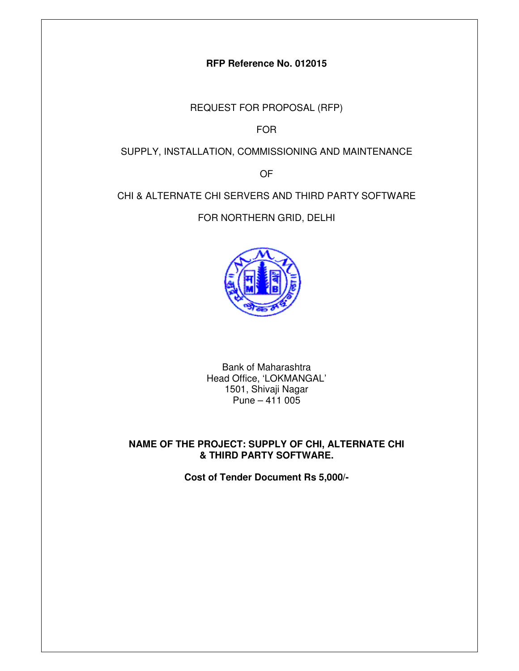## **RFP Reference No. 012015**

REQUEST FOR PROPOSAL (RFP)

FOR

## SUPPLY, INSTALLATION, COMMISSIONING AND MAINTENANCE

OF

## CHI & ALTERNATE CHI SERVERS AND THIRD PARTY SOFTWARE

FOR NORTHERN GRID, DELHI



Bank of Maharashtra Head Office, 'LOKMANGAL' 1501, Shivaji Nagar Pune –  $411005$ 

## **NAME OF THE PROJECT: SUPPLY OF CHI, ALTERNATE CHI & THIRD PARTY SOFTWARE.**

**Cost of Tender Document Rs 5,000/-**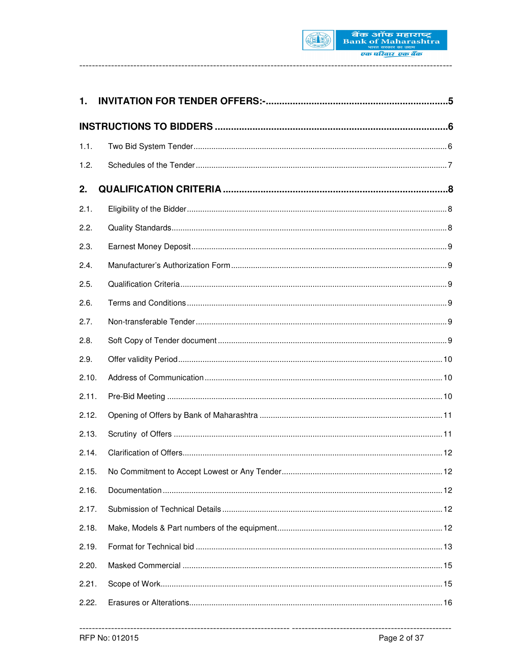

| 1.    |                                              |    |
|-------|----------------------------------------------|----|
|       |                                              |    |
| 1.1.  |                                              |    |
| 1.2.  |                                              |    |
| 2.    |                                              |    |
| 2.1.  |                                              |    |
| 2.2.  |                                              |    |
| 2.3.  |                                              |    |
| 2.4.  |                                              |    |
| 2.5.  |                                              |    |
| 2.6.  |                                              |    |
| 2.7.  |                                              |    |
| 2.8.  |                                              |    |
| 2.9.  |                                              |    |
| 2.10. |                                              |    |
| 2.11. |                                              |    |
| 2.12. |                                              |    |
| 2.13. |                                              |    |
| 2.14. |                                              |    |
| 2.15. | No Commitment to Accept Lowest or Any Tender | 12 |
| 2.16. |                                              |    |
| 2.17. |                                              |    |
| 2.18. |                                              |    |
| 2.19. |                                              |    |
| 2.20. |                                              |    |
| 2.21. |                                              |    |
| 2.22. |                                              |    |

-------------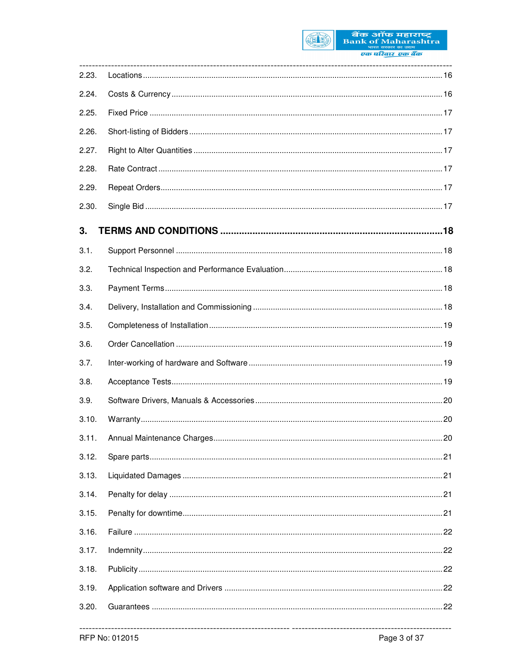

बैंक ऑफ महाराष्ट्र<br>Bank of Maharashtra<br>व्यक्त परिवार एक बैंक

| 2.23. |  |
|-------|--|
| 2.24. |  |
| 2.25. |  |
| 2.26. |  |
| 2.27. |  |
| 2.28. |  |
| 2.29. |  |
| 2.30. |  |
| 3.    |  |
| 3.1.  |  |
| 3.2.  |  |
| 3.3.  |  |
| 3.4.  |  |
| 3.5.  |  |
| 3.6.  |  |
| 3.7.  |  |
| 3.8.  |  |
| 3.9.  |  |
| 3.10. |  |
| 3.11. |  |
| 3.12. |  |
| 3.13. |  |
| 3.14. |  |
| 3.15. |  |
| 3.16. |  |
| 3.17. |  |
| 3.18. |  |
| 3.19. |  |
| 3.20. |  |
|       |  |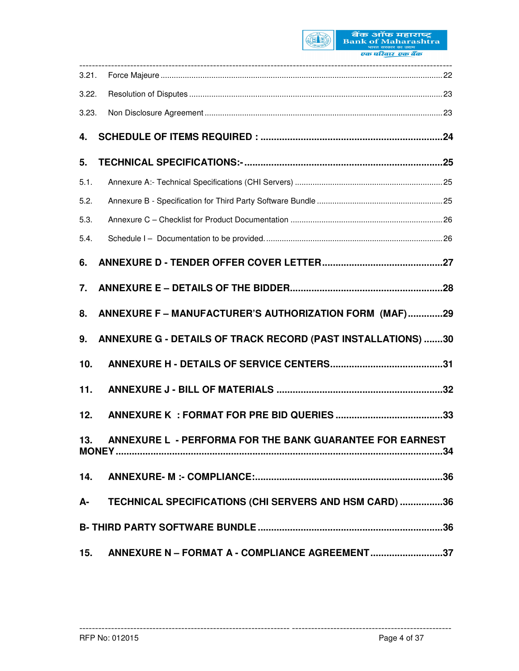

| 3.21. |                                                              |
|-------|--------------------------------------------------------------|
| 3.22. |                                                              |
| 3.23. |                                                              |
| 4.    |                                                              |
| 5.    |                                                              |
| 5.1.  |                                                              |
| 5.2.  |                                                              |
| 5.3.  |                                                              |
| 5.4.  |                                                              |
| 6.    |                                                              |
| 7.    |                                                              |
| 8.    | ANNEXURE F - MANUFACTURER'S AUTHORIZATION FORM (MAF)29       |
| 9.    | ANNEXURE G - DETAILS OF TRACK RECORD (PAST INSTALLATIONS) 30 |
| 10.   |                                                              |
| 11.   |                                                              |
| 12.   |                                                              |
|       | 13. ANNEXURE L - PERFORMA FOR THE BANK GUARANTEE FOR EARNEST |
|       |                                                              |
|       | A- TECHNICAL SPECIFICATIONS (CHI SERVERS AND HSM CARD) 36    |
|       |                                                              |
| 15.   | ANNEXURE N - FORMAT A - COMPLIANCE AGREEMENT37               |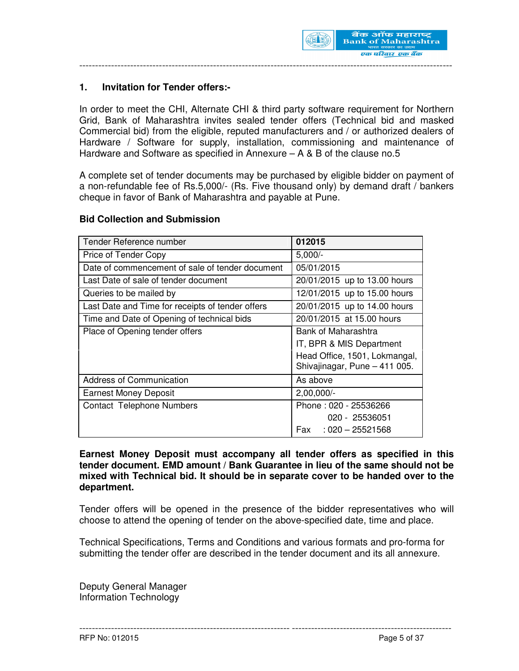

## **1. Invitation for Tender offers:-**

In order to meet the CHI, Alternate CHI & third party software requirement for Northern Grid, Bank of Maharashtra invites sealed tender offers (Technical bid and masked Commercial bid) from the eligible, reputed manufacturers and / or authorized dealers of Hardware / Software for supply, installation, commissioning and maintenance of Hardware and Software as specified in Annexure – A & B of the clause no.5

A complete set of tender documents may be purchased by eligible bidder on payment of a non-refundable fee of Rs.5,000/- (Rs. Five thousand only) by demand draft / bankers cheque in favor of Bank of Maharashtra and payable at Pune.

#### **Bid Collection and Submission**

| Tender Reference number                          | 012015                                                         |
|--------------------------------------------------|----------------------------------------------------------------|
| Price of Tender Copy                             | $5,000/-$                                                      |
| Date of commencement of sale of tender document  | 05/01/2015                                                     |
| Last Date of sale of tender document             | 20/01/2015 up to 13.00 hours                                   |
| Queries to be mailed by                          | 12/01/2015 up to 15.00 hours                                   |
| Last Date and Time for receipts of tender offers | 20/01/2015 up to 14.00 hours                                   |
| Time and Date of Opening of technical bids       | 20/01/2015 at 15.00 hours                                      |
| Place of Opening tender offers                   | Bank of Maharashtra                                            |
|                                                  | IT, BPR & MIS Department                                       |
|                                                  | Head Office, 1501, Lokmangal,<br>Shivajinagar, Pune - 411 005. |
| <b>Address of Communication</b>                  | As above                                                       |
| <b>Earnest Money Deposit</b>                     | $2,00,000/-$                                                   |
| <b>Contact Telephone Numbers</b>                 | Phone: 020 - 25536266                                          |
|                                                  | 020 - 25536051                                                 |
|                                                  | Fax<br>$:020-25521568$                                         |

**Earnest Money Deposit must accompany all tender offers as specified in this tender document. EMD amount / Bank Guarantee in lieu of the same should not be mixed with Technical bid. It should be in separate cover to be handed over to the department.** 

Tender offers will be opened in the presence of the bidder representatives who will choose to attend the opening of tender on the above-specified date, time and place.

Technical Specifications, Terms and Conditions and various formats and pro-forma for submitting the tender offer are described in the tender document and its all annexure.

------------------------------------------------------------------ --------------------------------------------------

Deputy General Manager Information Technology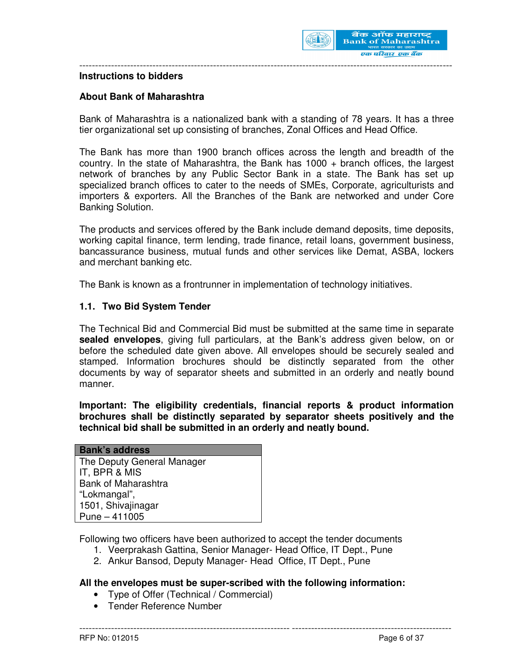

#### **Instructions to bidders**

#### **About Bank of Maharashtra**

Bank of Maharashtra is a nationalized bank with a standing of 78 years. It has a three tier organizational set up consisting of branches, Zonal Offices and Head Office.

---------------------------------------------------------------------------------------------------------------------

The Bank has more than 1900 branch offices across the length and breadth of the country. In the state of Maharashtra, the Bank has 1000 + branch offices, the largest network of branches by any Public Sector Bank in a state. The Bank has set up specialized branch offices to cater to the needs of SMEs, Corporate, agriculturists and importers & exporters. All the Branches of the Bank are networked and under Core Banking Solution.

The products and services offered by the Bank include demand deposits, time deposits, working capital finance, term lending, trade finance, retail loans, government business, bancassurance business, mutual funds and other services like Demat, ASBA, lockers and merchant banking etc.

The Bank is known as a frontrunner in implementation of technology initiatives.

#### **1.1. Two Bid System Tender**

The Technical Bid and Commercial Bid must be submitted at the same time in separate **sealed envelopes**, giving full particulars, at the Bank's address given below, on or before the scheduled date given above. All envelopes should be securely sealed and stamped. Information brochures should be distinctly separated from the other documents by way of separator sheets and submitted in an orderly and neatly bound manner.

**Important: The eligibility credentials, financial reports & product information brochures shall be distinctly separated by separator sheets positively and the technical bid shall be submitted in an orderly and neatly bound.** 

| <b>Bank's address</b>      |
|----------------------------|
| The Deputy General Manager |
| IT, BPR & MIS              |
| <b>Bank of Maharashtra</b> |
| "Lokmangal",               |
| 1501, Shivajinagar         |
| $Pune - 411005$            |

Following two officers have been authorized to accept the tender documents

- 1. Veerprakash Gattina, Senior Manager- Head Office, IT Dept., Pune
- 2. Ankur Bansod, Deputy Manager- Head Office, IT Dept., Pune

#### **All the envelopes must be super-scribed with the following information:**

- Type of Offer (Technical / Commercial)
- Tender Reference Number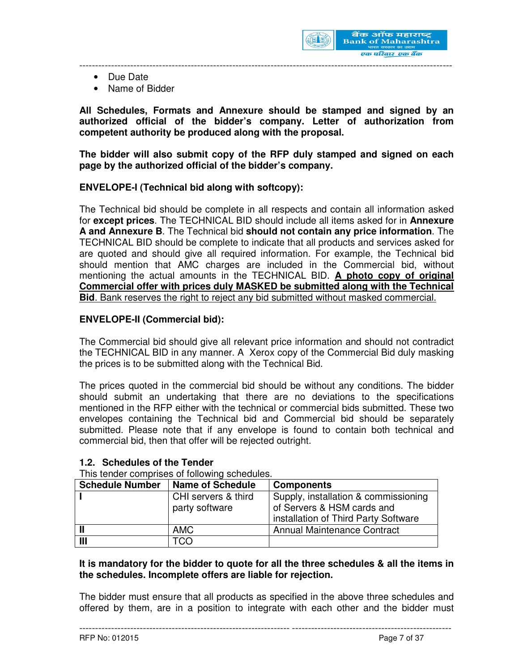

- Due Date
- Name of Bidder

**All Schedules, Formats and Annexure should be stamped and signed by an authorized official of the bidder's company. Letter of authorization from competent authority be produced along with the proposal.** 

**The bidder will also submit copy of the RFP duly stamped and signed on each page by the authorized official of the bidder's company.** 

#### **ENVELOPE-I (Technical bid along with softcopy):**

The Technical bid should be complete in all respects and contain all information asked for **except prices**. The TECHNICAL BID should include all items asked for in **Annexure A and Annexure B**. The Technical bid **should not contain any price information**. The TECHNICAL BID should be complete to indicate that all products and services asked for are quoted and should give all required information. For example, the Technical bid should mention that AMC charges are included in the Commercial bid, without mentioning the actual amounts in the TECHNICAL BID. **A photo copy of original Commercial offer with prices duly MASKED be submitted along with the Technical Bid**. Bank reserves the right to reject any bid submitted without masked commercial.

#### **ENVELOPE-II (Commercial bid):**

The Commercial bid should give all relevant price information and should not contradict the TECHNICAL BID in any manner. A Xerox copy of the Commercial Bid duly masking the prices is to be submitted along with the Technical Bid.

The prices quoted in the commercial bid should be without any conditions. The bidder should submit an undertaking that there are no deviations to the specifications mentioned in the RFP either with the technical or commercial bids submitted. These two envelopes containing the Technical bid and Commercial bid should be separately submitted. Please note that if any envelope is found to contain both technical and commercial bid, then that offer will be rejected outright.

#### **1.2. Schedules of the Tender**

This tender comprises of following schedules.

| <b>Schedule Number</b> | <b>Name of Schedule</b> | <b>Components</b>                    |
|------------------------|-------------------------|--------------------------------------|
|                        | CHI servers & third     | Supply, installation & commissioning |
|                        | party software          | of Servers & HSM cards and           |
|                        |                         | installation of Third Party Software |
|                        | <b>AMC</b>              | <b>Annual Maintenance Contract</b>   |
| Ш                      | TCO                     |                                      |

## **It is mandatory for the bidder to quote for all the three schedules & all the items in the schedules. Incomplete offers are liable for rejection.**

The bidder must ensure that all products as specified in the above three schedules and offered by them, are in a position to integrate with each other and the bidder must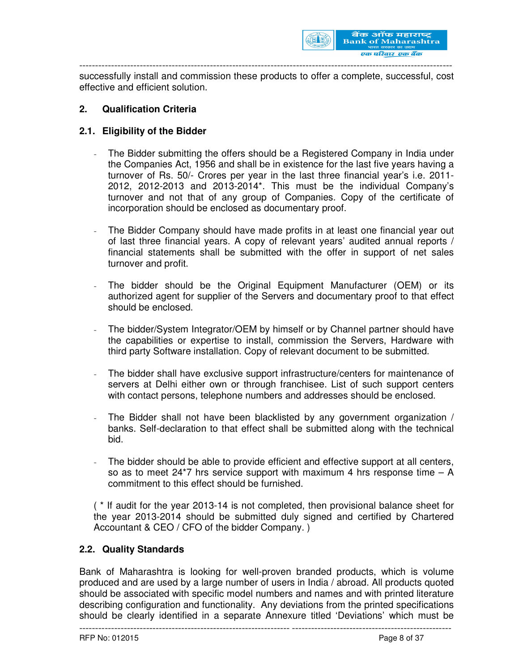

successfully install and commission these products to offer a complete, successful, cost effective and efficient solution.

### **2. Qualification Criteria**

## **2.1. Eligibility of the Bidder**

- The Bidder submitting the offers should be a Registered Company in India under the Companies Act, 1956 and shall be in existence for the last five years having a turnover of Rs. 50/- Crores per year in the last three financial year's i.e. 2011- 2012, 2012-2013 and 2013-2014\*. This must be the individual Company's turnover and not that of any group of Companies. Copy of the certificate of incorporation should be enclosed as documentary proof.
- The Bidder Company should have made profits in at least one financial year out of last three financial years. A copy of relevant years' audited annual reports / financial statements shall be submitted with the offer in support of net sales turnover and profit.
- The bidder should be the Original Equipment Manufacturer (OEM) or its authorized agent for supplier of the Servers and documentary proof to that effect should be enclosed.
- The bidder/System Integrator/OEM by himself or by Channel partner should have the capabilities or expertise to install, commission the Servers, Hardware with third party Software installation. Copy of relevant document to be submitted.
- The bidder shall have exclusive support infrastructure/centers for maintenance of servers at Delhi either own or through franchisee. List of such support centers with contact persons, telephone numbers and addresses should be enclosed.
- The Bidder shall not have been blacklisted by any government organization / banks. Self-declaration to that effect shall be submitted along with the technical bid.
- The bidder should be able to provide efficient and effective support at all centers, so as to meet  $24*7$  hrs service support with maximum 4 hrs response time  $- A$ commitment to this effect should be furnished.

( \* If audit for the year 2013-14 is not completed, then provisional balance sheet for the year 2013-2014 should be submitted duly signed and certified by Chartered Accountant & CEO / CFO of the bidder Company. )

#### **2.2. Quality Standards**

Bank of Maharashtra is looking for well-proven branded products, which is volume produced and are used by a large number of users in India / abroad. All products quoted should be associated with specific model numbers and names and with printed literature describing configuration and functionality. Any deviations from the printed specifications should be clearly identified in a separate Annexure titled 'Deviations' which must be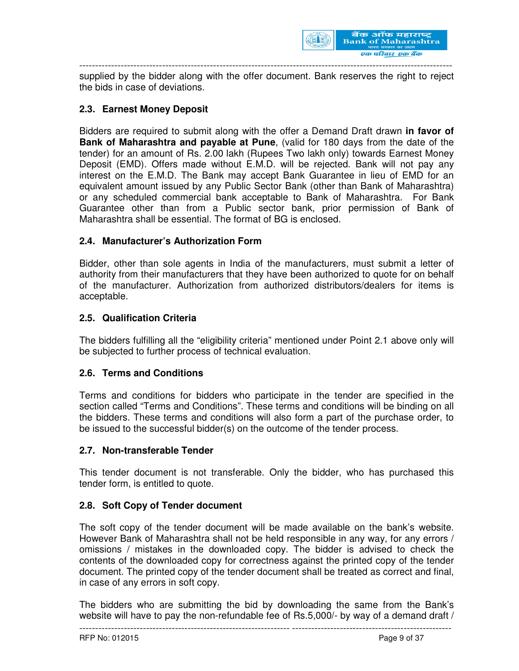

supplied by the bidder along with the offer document. Bank reserves the right to reject the bids in case of deviations.

## **2.3. Earnest Money Deposit**

Bidders are required to submit along with the offer a Demand Draft drawn **in favor of Bank of Maharashtra and payable at Pune**, (valid for 180 days from the date of the tender) for an amount of Rs. 2.00 lakh (Rupees Two lakh only) towards Earnest Money Deposit (EMD). Offers made without E.M.D. will be rejected. Bank will not pay any interest on the E.M.D. The Bank may accept Bank Guarantee in lieu of EMD for an equivalent amount issued by any Public Sector Bank (other than Bank of Maharashtra) or any scheduled commercial bank acceptable to Bank of Maharashtra. For Bank Guarantee other than from a Public sector bank, prior permission of Bank of Maharashtra shall be essential. The format of BG is enclosed.

#### **2.4. Manufacturer's Authorization Form**

Bidder, other than sole agents in India of the manufacturers, must submit a letter of authority from their manufacturers that they have been authorized to quote for on behalf of the manufacturer. Authorization from authorized distributors/dealers for items is acceptable.

#### **2.5. Qualification Criteria**

The bidders fulfilling all the "eligibility criteria" mentioned under Point 2.1 above only will be subjected to further process of technical evaluation.

#### **2.6. Terms and Conditions**

Terms and conditions for bidders who participate in the tender are specified in the section called "Terms and Conditions". These terms and conditions will be binding on all the bidders. These terms and conditions will also form a part of the purchase order, to be issued to the successful bidder(s) on the outcome of the tender process.

#### **2.7. Non-transferable Tender**

This tender document is not transferable. Only the bidder, who has purchased this tender form, is entitled to quote.

#### **2.8. Soft Copy of Tender document**

The soft copy of the tender document will be made available on the bank's website. However Bank of Maharashtra shall not be held responsible in any way, for any errors / omissions / mistakes in the downloaded copy. The bidder is advised to check the contents of the downloaded copy for correctness against the printed copy of the tender document. The printed copy of the tender document shall be treated as correct and final, in case of any errors in soft copy.

------------------------------------------------------------------ -------------------------------------------------- The bidders who are submitting the bid by downloading the same from the Bank's website will have to pay the non-refundable fee of Rs.5,000/- by way of a demand draft /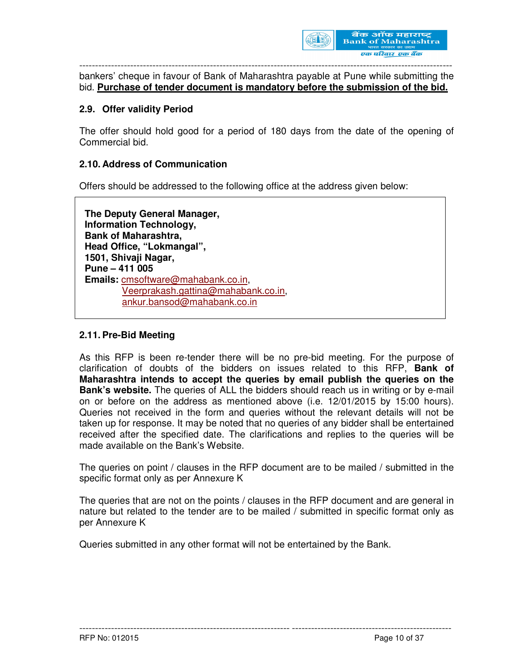

bankers' cheque in favour of Bank of Maharashtra payable at Pune while submitting the bid. **Purchase of tender document is mandatory before the submission of the bid.**

#### **2.9. Offer validity Period**

The offer should hold good for a period of 180 days from the date of the opening of Commercial bid.

#### **2.10. Address of Communication**

Offers should be addressed to the following office at the address given below:

 **The Deputy General Manager, Information Technology, Bank of Maharashtra, Head Office, "Lokmangal", 1501, Shivaji Nagar, Pune – 411 005 Emails:** cmsoftware@mahabank.co.in, Veerprakash.gattina@mahabank.co.in, ankur.bansod@mahabank.co.in

#### **2.11. Pre-Bid Meeting**

As this RFP is been re-tender there will be no pre-bid meeting. For the purpose of clarification of doubts of the bidders on issues related to this RFP, **Bank of Maharashtra intends to accept the queries by email publish the queries on the Bank's website.** The queries of ALL the bidders should reach us in writing or by e-mail on or before on the address as mentioned above (i.e. 12/01/2015 by 15:00 hours). Queries not received in the form and queries without the relevant details will not be taken up for response. It may be noted that no queries of any bidder shall be entertained received after the specified date. The clarifications and replies to the queries will be made available on the Bank's Website.

The queries on point / clauses in the RFP document are to be mailed / submitted in the specific format only as per Annexure K

The queries that are not on the points / clauses in the RFP document and are general in nature but related to the tender are to be mailed / submitted in specific format only as per Annexure K

------------------------------------------------------------------ --------------------------------------------------

Queries submitted in any other format will not be entertained by the Bank.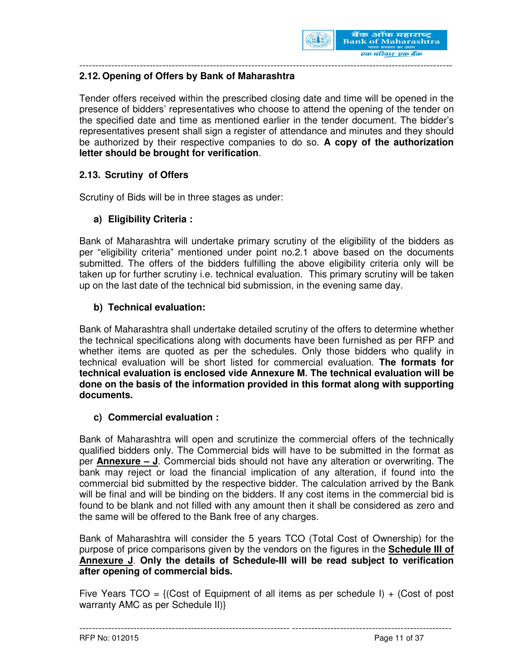

## **2.12. Opening of Offers by Bank of Maharashtra**

Tender offers received within the prescribed closing date and time will be opened in the presence of bidders' representatives who choose to attend the opening of the tender on the specified date and time as mentioned earlier in the tender document. The bidder's representatives present shall sign a register of attendance and minutes and they should be authorized by their respective companies to do so. **A copy of the authorization letter should be brought for verification**.

## **2.13. Scrutiny of Offers**

Scrutiny of Bids will be in three stages as under:

## **a) Eligibility Criteria :**

Bank of Maharashtra will undertake primary scrutiny of the eligibility of the bidders as per "eligibility criteria" mentioned under point no.2.1 above based on the documents submitted. The offers of the bidders fulfilling the above eligibility criteria only will be taken up for further scrutiny i.e. technical evaluation. This primary scrutiny will be taken up on the last date of the technical bid submission, in the evening same day.

## **b) Technical evaluation:**

Bank of Maharashtra shall undertake detailed scrutiny of the offers to determine whether the technical specifications along with documents have been furnished as per RFP and whether items are quoted as per the schedules. Only those bidders who qualify in technical evaluation will be short listed for commercial evaluation. **The formats for technical evaluation is enclosed vide Annexure M. The technical evaluation will be done on the basis of the information provided in this format along with supporting documents.** 

#### **c) Commercial evaluation :**

Bank of Maharashtra will open and scrutinize the commercial offers of the technically qualified bidders only. The Commercial bids will have to be submitted in the format as per **Annexure – J**. Commercial bids should not have any alteration or overwriting. The bank may reject or load the financial implication of any alteration, if found into the commercial bid submitted by the respective bidder. The calculation arrived by the Bank will be final and will be binding on the bidders. If any cost items in the commercial bid is found to be blank and not filled with any amount then it shall be considered as zero and the same will be offered to the Bank free of any charges.

Bank of Maharashtra will consider the 5 years TCO (Total Cost of Ownership) for the purpose of price comparisons given by the vendors on the figures in the **Schedule III of Annexure J**. **Only the details of Schedule-III will be read subject to verification after opening of commercial bids.** 

Five Years TCO = {(Cost of Equipment of all items as per schedule I) + (Cost of post warranty AMC as per Schedule II)}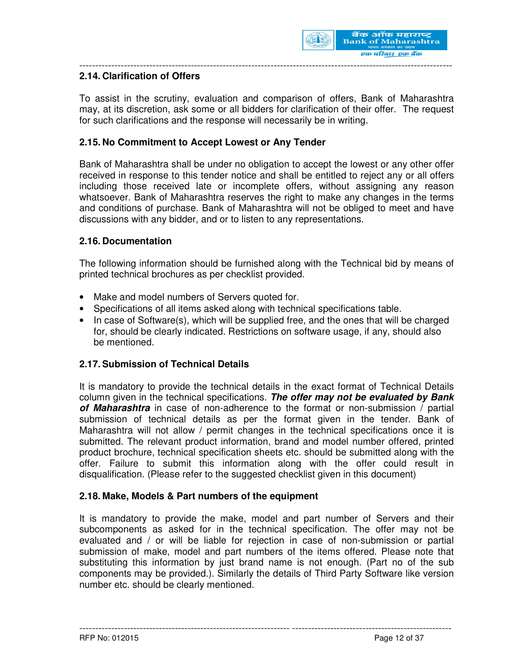

## **2.14. Clarification of Offers**

To assist in the scrutiny, evaluation and comparison of offers, Bank of Maharashtra may, at its discretion, ask some or all bidders for clarification of their offer. The request for such clarifications and the response will necessarily be in writing.

#### **2.15. No Commitment to Accept Lowest or Any Tender**

Bank of Maharashtra shall be under no obligation to accept the lowest or any other offer received in response to this tender notice and shall be entitled to reject any or all offers including those received late or incomplete offers, without assigning any reason whatsoever. Bank of Maharashtra reserves the right to make any changes in the terms and conditions of purchase. Bank of Maharashtra will not be obliged to meet and have discussions with any bidder, and or to listen to any representations.

#### **2.16. Documentation**

The following information should be furnished along with the Technical bid by means of printed technical brochures as per checklist provided.

- Make and model numbers of Servers quoted for.
- Specifications of all items asked along with technical specifications table.
- In case of Software(s), which will be supplied free, and the ones that will be charged for, should be clearly indicated. Restrictions on software usage, if any, should also be mentioned.

#### **2.17. Submission of Technical Details**

It is mandatory to provide the technical details in the exact format of Technical Details column given in the technical specifications. **The offer may not be evaluated by Bank of Maharashtra** in case of non-adherence to the format or non-submission / partial submission of technical details as per the format given in the tender. Bank of Maharashtra will not allow / permit changes in the technical specifications once it is submitted. The relevant product information, brand and model number offered, printed product brochure, technical specification sheets etc. should be submitted along with the offer. Failure to submit this information along with the offer could result in disqualification. (Please refer to the suggested checklist given in this document)

#### **2.18. Make, Models & Part numbers of the equipment**

It is mandatory to provide the make, model and part number of Servers and their subcomponents as asked for in the technical specification. The offer may not be evaluated and / or will be liable for rejection in case of non-submission or partial submission of make, model and part numbers of the items offered. Please note that substituting this information by just brand name is not enough. (Part no of the sub components may be provided.). Similarly the details of Third Party Software like version number etc. should be clearly mentioned.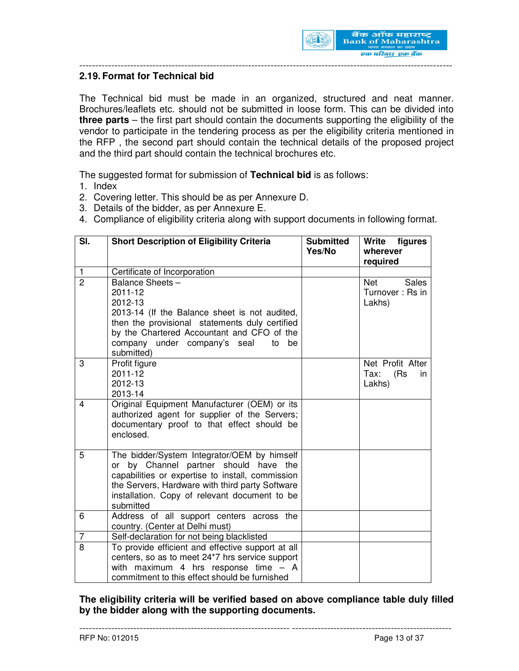

#### **2.19. Format for Technical bid**

The Technical bid must be made in an organized, structured and neat manner. Brochures/leaflets etc. should not be submitted in loose form. This can be divided into **three parts** – the first part should contain the documents supporting the eligibility of the vendor to participate in the tendering process as per the eligibility criteria mentioned in the RFP , the second part should contain the technical details of the proposed project and the third part should contain the technical brochures etc.

---------------------------------------------------------------------------------------------------------------------

The suggested format for submission of **Technical bid** is as follows:

- 1. Index
- 2. Covering letter. This should be as per Annexure D.
- 3. Details of the bidder, as per Annexure E.
- 4. Compliance of eligibility criteria along with support documents in following format.

| SI.            | <b>Short Description of Eligibility Criteria</b>                                                                                                                                                                                                             | <b>Submitted</b><br>Yes/No | Write<br>figures<br>wherever<br>required                |
|----------------|--------------------------------------------------------------------------------------------------------------------------------------------------------------------------------------------------------------------------------------------------------------|----------------------------|---------------------------------------------------------|
| $\mathbf{1}$   | Certificate of Incorporation                                                                                                                                                                                                                                 |                            |                                                         |
| $\overline{2}$ | Balance Sheets -<br>2011-12<br>2012-13<br>2013-14 (If the Balance sheet is not audited,<br>then the provisional statements duly certified<br>by the Chartered Accountant and CFO of the<br>company under company's seal<br>be<br>to<br>submitted)            |                            | <b>Net</b><br><b>Sales</b><br>Turnover: Rs in<br>Lakhs) |
| 3              | Profit figure<br>2011-12<br>2012-13<br>2013-14                                                                                                                                                                                                               |                            | Net Profit After<br>(Rs)<br>Tax:<br>in<br>Lakhs)        |
| $\overline{4}$ | Original Equipment Manufacturer (OEM) or its<br>authorized agent for supplier of the Servers;<br>documentary proof to that effect should be<br>enclosed.                                                                                                     |                            |                                                         |
| 5              | The bidder/System Integrator/OEM by himself<br>by Channel partner should have the<br>or<br>capabilities or expertise to install, commission<br>the Servers, Hardware with third party Software<br>installation. Copy of relevant document to be<br>submitted |                            |                                                         |
| 6              | Address of all support centers across the<br>country. (Center at Delhi must)                                                                                                                                                                                 |                            |                                                         |
| $\overline{7}$ | Self-declaration for not being blacklisted                                                                                                                                                                                                                   |                            |                                                         |
| 8              | To provide efficient and effective support at all<br>centers, so as to meet 24*7 hrs service support<br>with maximum 4 hrs response time $-$ A<br>commitment to this effect should be furnished                                                              |                            |                                                         |

**The eligibility criteria will be verified based on above compliance table duly filled by the bidder along with the supporting documents.**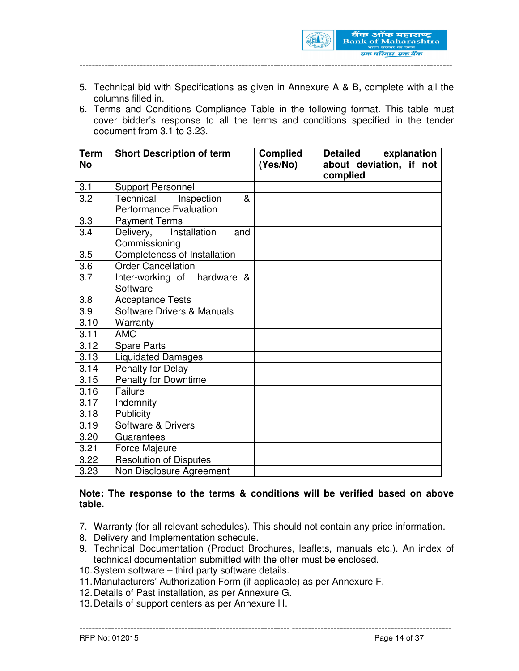

- 5. Technical bid with Specifications as given in Annexure A & B, complete with all the columns filled in.
- 6. Terms and Conditions Compliance Table in the following format. This table must cover bidder's response to all the terms and conditions specified in the tender document from 3.1 to 3.23.

| <b>Term</b>      | <b>Short Description of term</b> | <b>Complied</b> | explanation<br><b>Detailed</b> |
|------------------|----------------------------------|-----------------|--------------------------------|
| <b>No</b>        |                                  | (Yes/No)        | about deviation, if not        |
|                  |                                  |                 | complied                       |
| 3.1              | <b>Support Personnel</b>         |                 |                                |
| 3.2              | Inspection<br>Technical<br>&     |                 |                                |
|                  | <b>Performance Evaluation</b>    |                 |                                |
| 3.3              | <b>Payment Terms</b>             |                 |                                |
| 3.4              | Installation<br>Delivery,<br>and |                 |                                |
|                  | Commissioning                    |                 |                                |
| 3.5              | Completeness of Installation     |                 |                                |
| 3.6              | <b>Order Cancellation</b>        |                 |                                |
| 3.7              | Inter-working of hardware &      |                 |                                |
|                  | Software                         |                 |                                |
| 3.8              | <b>Acceptance Tests</b>          |                 |                                |
| $\overline{3.9}$ | Software Drivers & Manuals       |                 |                                |
| 3.10             | Warranty                         |                 |                                |
| 3.11             | <b>AMC</b>                       |                 |                                |
| 3.12             | <b>Spare Parts</b>               |                 |                                |
| 3.13             | <b>Liquidated Damages</b>        |                 |                                |
| 3.14             | Penalty for Delay                |                 |                                |
| 3.15             | <b>Penalty for Downtime</b>      |                 |                                |
| 3.16             | Failure                          |                 |                                |
| 3.17             | Indemnity                        |                 |                                |
| 3.18             | Publicity                        |                 |                                |
| 3.19             | Software & Drivers               |                 |                                |
| 3.20             | Guarantees                       |                 |                                |
| 3.21             | Force Majeure                    |                 |                                |
| 3.22             | <b>Resolution of Disputes</b>    |                 |                                |
| 3.23             | Non Disclosure Agreement         |                 |                                |

#### **Note: The response to the terms & conditions will be verified based on above table.**

- 7. Warranty (for all relevant schedules). This should not contain any price information.
- 8. Delivery and Implementation schedule.
- 9. Technical Documentation (Product Brochures, leaflets, manuals etc.). An index of technical documentation submitted with the offer must be enclosed.

- 10. System software third party software details.
- 11. Manufacturers' Authorization Form (if applicable) as per Annexure F.
- 12. Details of Past installation, as per Annexure G.
- 13. Details of support centers as per Annexure H.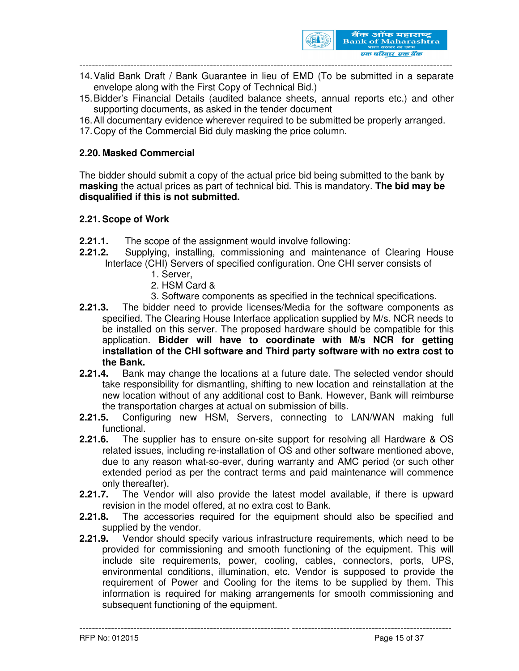

- 14. Valid Bank Draft / Bank Guarantee in lieu of EMD (To be submitted in a separate envelope along with the First Copy of Technical Bid.)
- 15. Bidder's Financial Details (audited balance sheets, annual reports etc.) and other supporting documents, as asked in the tender document
- 16. All documentary evidence wherever required to be submitted be properly arranged.
- 17. Copy of the Commercial Bid duly masking the price column.

### **2.20. Masked Commercial**

The bidder should submit a copy of the actual price bid being submitted to the bank by **masking** the actual prices as part of technical bid. This is mandatory. **The bid may be disqualified if this is not submitted.** 

#### **2.21. Scope of Work**

- **2.21.1.** The scope of the assignment would involve following:
- **2.21.2.** Supplying, installing, commissioning and maintenance of Clearing House Interface (CHI) Servers of specified configuration. One CHI server consists of
	- 1. Server,
	- 2. HSM Card &
	- 3. Software components as specified in the technical specifications.
- **2.21.3.** The bidder need to provide licenses/Media for the software components as specified. The Clearing House Interface application supplied by M/s. NCR needs to be installed on this server. The proposed hardware should be compatible for this application. **Bidder will have to coordinate with M/s NCR for getting installation of the CHI software and Third party software with no extra cost to the Bank.**
- **2.21.4.** Bank may change the locations at a future date. The selected vendor should take responsibility for dismantling, shifting to new location and reinstallation at the new location without of any additional cost to Bank. However, Bank will reimburse the transportation charges at actual on submission of bills.
- **2.21.5.** Configuring new HSM, Servers, connecting to LAN/WAN making full functional.
- **2.21.6.** The supplier has to ensure on-site support for resolving all Hardware & OS related issues, including re-installation of OS and other software mentioned above, due to any reason what-so-ever, during warranty and AMC period (or such other extended period as per the contract terms and paid maintenance will commence only thereafter).
- **2.21.7.** The Vendor will also provide the latest model available, if there is upward revision in the model offered, at no extra cost to Bank.
- **2.21.8.** The accessories required for the equipment should also be specified and supplied by the vendor.
- **2.21.9.** Vendor should specify various infrastructure requirements, which need to be provided for commissioning and smooth functioning of the equipment. This will include site requirements, power, cooling, cables, connectors, ports, UPS, environmental conditions, illumination, etc. Vendor is supposed to provide the requirement of Power and Cooling for the items to be supplied by them. This information is required for making arrangements for smooth commissioning and subsequent functioning of the equipment.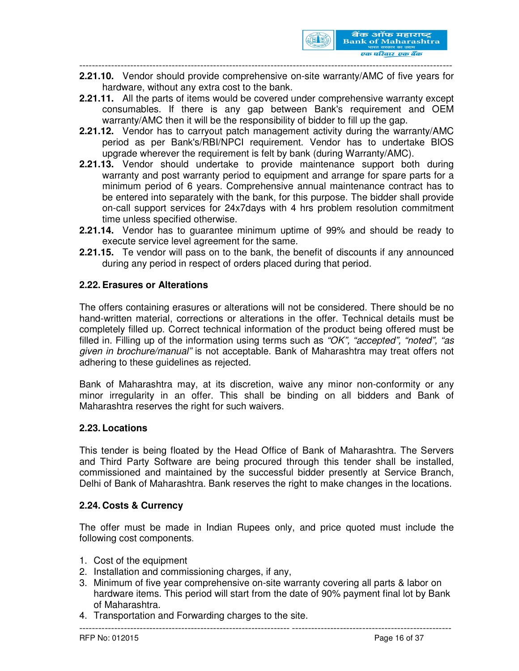

**2.21.10.** Vendor should provide comprehensive on-site warranty/AMC of five years for hardware, without any extra cost to the bank.

- **2.21.11.** All the parts of items would be covered under comprehensive warranty except consumables. If there is any gap between Bank's requirement and OEM warranty/AMC then it will be the responsibility of bidder to fill up the gap.
- **2.21.12.** Vendor has to carryout patch management activity during the warranty/AMC period as per Bank's/RBI/NPCI requirement. Vendor has to undertake BIOS upgrade wherever the requirement is felt by bank (during Warranty/AMC).
- **2.21.13.** Vendor should undertake to provide maintenance support both during warranty and post warranty period to equipment and arrange for spare parts for a minimum period of 6 years. Comprehensive annual maintenance contract has to be entered into separately with the bank, for this purpose. The bidder shall provide on-call support services for 24x7days with 4 hrs problem resolution commitment time unless specified otherwise.
- **2.21.14.** Vendor has to guarantee minimum uptime of 99% and should be ready to execute service level agreement for the same.
- **2.21.15.** Te vendor will pass on to the bank, the benefit of discounts if any announced during any period in respect of orders placed during that period.

#### **2.22. Erasures or Alterations**

The offers containing erasures or alterations will not be considered. There should be no hand-written material, corrections or alterations in the offer. Technical details must be completely filled up. Correct technical information of the product being offered must be filled in. Filling up of the information using terms such as "OK", "accepted", "noted", "as given in brochure/manual" is not acceptable. Bank of Maharashtra may treat offers not adhering to these guidelines as rejected.

Bank of Maharashtra may, at its discretion, waive any minor non-conformity or any minor irregularity in an offer. This shall be binding on all bidders and Bank of Maharashtra reserves the right for such waivers.

#### **2.23. Locations**

This tender is being floated by the Head Office of Bank of Maharashtra. The Servers and Third Party Software are being procured through this tender shall be installed, commissioned and maintained by the successful bidder presently at Service Branch, Delhi of Bank of Maharashtra. Bank reserves the right to make changes in the locations.

#### **2.24. Costs & Currency**

The offer must be made in Indian Rupees only, and price quoted must include the following cost components.

- 1. Cost of the equipment
- 2. Installation and commissioning charges, if any,
- 3. Minimum of five year comprehensive on-site warranty covering all parts & labor on hardware items. This period will start from the date of 90% payment final lot by Bank of Maharashtra.

------------------------------------------------------------------ --------------------------------------------------

4. Transportation and Forwarding charges to the site.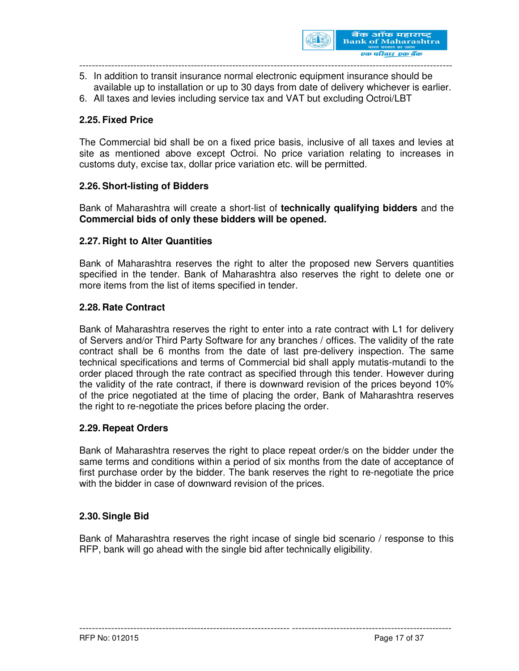

- 5. In addition to transit insurance normal electronic equipment insurance should be available up to installation or up to 30 days from date of delivery whichever is earlier.
- 6. All taxes and levies including service tax and VAT but excluding Octroi/LBT

## **2.25. Fixed Price**

The Commercial bid shall be on a fixed price basis, inclusive of all taxes and levies at site as mentioned above except Octroi. No price variation relating to increases in customs duty, excise tax, dollar price variation etc. will be permitted.

#### **2.26. Short-listing of Bidders**

Bank of Maharashtra will create a short-list of **technically qualifying bidders** and the **Commercial bids of only these bidders will be opened.** 

#### **2.27. Right to Alter Quantities**

Bank of Maharashtra reserves the right to alter the proposed new Servers quantities specified in the tender. Bank of Maharashtra also reserves the right to delete one or more items from the list of items specified in tender.

#### **2.28. Rate Contract**

Bank of Maharashtra reserves the right to enter into a rate contract with L1 for delivery of Servers and/or Third Party Software for any branches / offices. The validity of the rate contract shall be 6 months from the date of last pre-delivery inspection. The same technical specifications and terms of Commercial bid shall apply mutatis-mutandi to the order placed through the rate contract as specified through this tender. However during the validity of the rate contract, if there is downward revision of the prices beyond 10% of the price negotiated at the time of placing the order, Bank of Maharashtra reserves the right to re-negotiate the prices before placing the order.

#### **2.29. Repeat Orders**

Bank of Maharashtra reserves the right to place repeat order/s on the bidder under the same terms and conditions within a period of six months from the date of acceptance of first purchase order by the bidder. The bank reserves the right to re-negotiate the price with the bidder in case of downward revision of the prices.

#### **2.30. Single Bid**

Bank of Maharashtra reserves the right incase of single bid scenario / response to this RFP, bank will go ahead with the single bid after technically eligibility.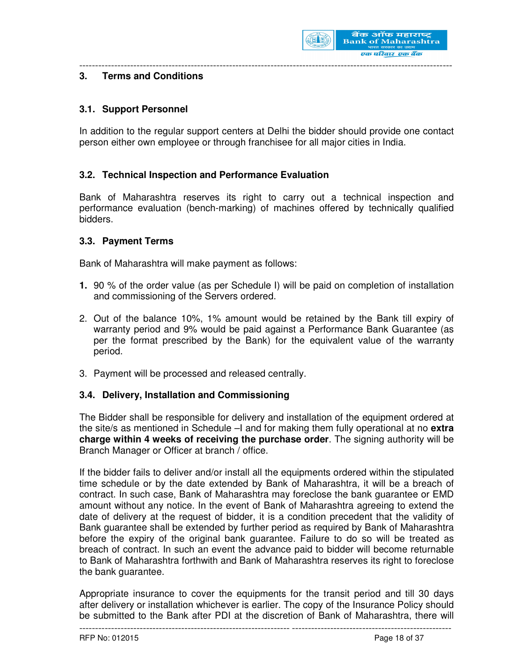

# **3. Terms and Conditions**

### **3.1. Support Personnel**

In addition to the regular support centers at Delhi the bidder should provide one contact person either own employee or through franchisee for all major cities in India.

---------------------------------------------------------------------------------------------------------------------

#### **3.2. Technical Inspection and Performance Evaluation**

Bank of Maharashtra reserves its right to carry out a technical inspection and performance evaluation (bench-marking) of machines offered by technically qualified bidders.

#### **3.3. Payment Terms**

Bank of Maharashtra will make payment as follows:

- **1.** 90 % of the order value (as per Schedule I) will be paid on completion of installation and commissioning of the Servers ordered.
- 2. Out of the balance 10%, 1% amount would be retained by the Bank till expiry of warranty period and 9% would be paid against a Performance Bank Guarantee (as per the format prescribed by the Bank) for the equivalent value of the warranty period.
- 3. Payment will be processed and released centrally.

#### **3.4. Delivery, Installation and Commissioning**

The Bidder shall be responsible for delivery and installation of the equipment ordered at the site/s as mentioned in Schedule –I and for making them fully operational at no **extra charge within 4 weeks of receiving the purchase order**. The signing authority will be Branch Manager or Officer at branch / office.

If the bidder fails to deliver and/or install all the equipments ordered within the stipulated time schedule or by the date extended by Bank of Maharashtra, it will be a breach of contract. In such case, Bank of Maharashtra may foreclose the bank guarantee or EMD amount without any notice. In the event of Bank of Maharashtra agreeing to extend the date of delivery at the request of bidder, it is a condition precedent that the validity of Bank guarantee shall be extended by further period as required by Bank of Maharashtra before the expiry of the original bank guarantee. Failure to do so will be treated as breach of contract. In such an event the advance paid to bidder will become returnable to Bank of Maharashtra forthwith and Bank of Maharashtra reserves its right to foreclose the bank guarantee.

Appropriate insurance to cover the equipments for the transit period and till 30 days after delivery or installation whichever is earlier. The copy of the Insurance Policy should be submitted to the Bank after PDI at the discretion of Bank of Maharashtra, there will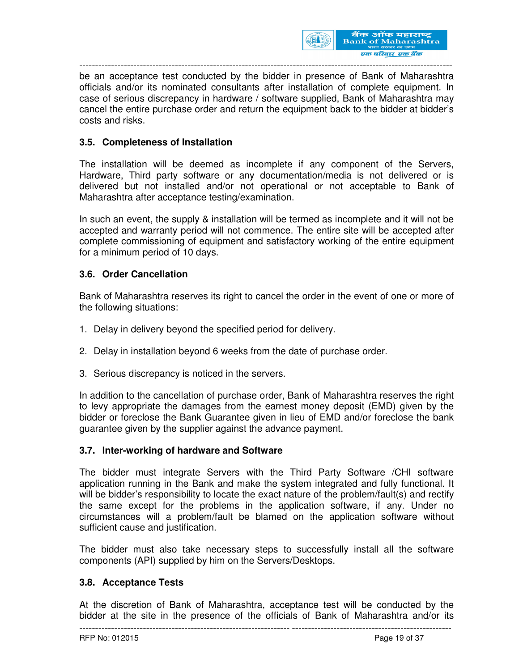

be an acceptance test conducted by the bidder in presence of Bank of Maharashtra officials and/or its nominated consultants after installation of complete equipment. In case of serious discrepancy in hardware / software supplied, Bank of Maharashtra may cancel the entire purchase order and return the equipment back to the bidder at bidder's costs and risks.

### **3.5. Completeness of Installation**

The installation will be deemed as incomplete if any component of the Servers, Hardware, Third party software or any documentation/media is not delivered or is delivered but not installed and/or not operational or not acceptable to Bank of Maharashtra after acceptance testing/examination.

In such an event, the supply & installation will be termed as incomplete and it will not be accepted and warranty period will not commence. The entire site will be accepted after complete commissioning of equipment and satisfactory working of the entire equipment for a minimum period of 10 days.

#### **3.6. Order Cancellation**

Bank of Maharashtra reserves its right to cancel the order in the event of one or more of the following situations:

- 1. Delay in delivery beyond the specified period for delivery.
- 2. Delay in installation beyond 6 weeks from the date of purchase order.
- 3. Serious discrepancy is noticed in the servers.

In addition to the cancellation of purchase order, Bank of Maharashtra reserves the right to levy appropriate the damages from the earnest money deposit (EMD) given by the bidder or foreclose the Bank Guarantee given in lieu of EMD and/or foreclose the bank guarantee given by the supplier against the advance payment.

#### **3.7. Inter-working of hardware and Software**

The bidder must integrate Servers with the Third Party Software /CHI software application running in the Bank and make the system integrated and fully functional. It will be bidder's responsibility to locate the exact nature of the problem/fault(s) and rectify the same except for the problems in the application software, if any. Under no circumstances will a problem/fault be blamed on the application software without sufficient cause and justification.

The bidder must also take necessary steps to successfully install all the software components (API) supplied by him on the Servers/Desktops.

#### **3.8. Acceptance Tests**

------------------------------------------------------------------ -------------------------------------------------- At the discretion of Bank of Maharashtra, acceptance test will be conducted by the bidder at the site in the presence of the officials of Bank of Maharashtra and/or its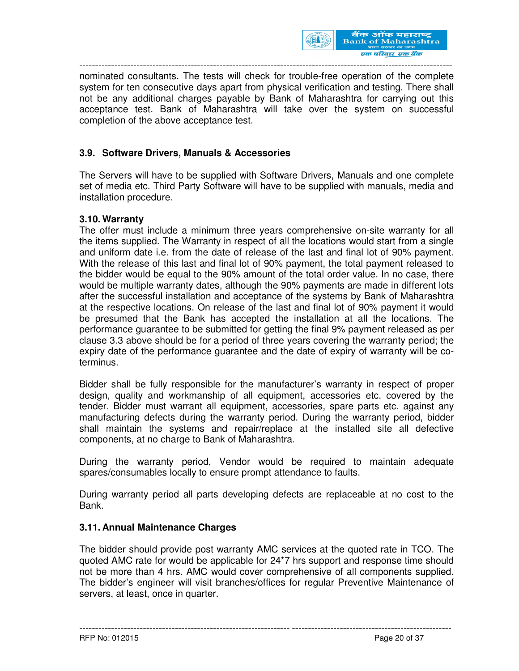

nominated consultants. The tests will check for trouble-free operation of the complete system for ten consecutive days apart from physical verification and testing. There shall not be any additional charges payable by Bank of Maharashtra for carrying out this acceptance test. Bank of Maharashtra will take over the system on successful completion of the above acceptance test.

## **3.9. Software Drivers, Manuals & Accessories**

The Servers will have to be supplied with Software Drivers, Manuals and one complete set of media etc. Third Party Software will have to be supplied with manuals, media and installation procedure.

#### **3.10. Warranty**

The offer must include a minimum three years comprehensive on-site warranty for all the items supplied. The Warranty in respect of all the locations would start from a single and uniform date i.e. from the date of release of the last and final lot of 90% payment. With the release of this last and final lot of 90% payment, the total payment released to the bidder would be equal to the 90% amount of the total order value. In no case, there would be multiple warranty dates, although the 90% payments are made in different lots after the successful installation and acceptance of the systems by Bank of Maharashtra at the respective locations. On release of the last and final lot of 90% payment it would be presumed that the Bank has accepted the installation at all the locations. The performance guarantee to be submitted for getting the final 9% payment released as per clause 3.3 above should be for a period of three years covering the warranty period; the expiry date of the performance guarantee and the date of expiry of warranty will be coterminus.

Bidder shall be fully responsible for the manufacturer's warranty in respect of proper design, quality and workmanship of all equipment, accessories etc. covered by the tender. Bidder must warrant all equipment, accessories, spare parts etc. against any manufacturing defects during the warranty period. During the warranty period, bidder shall maintain the systems and repair/replace at the installed site all defective components, at no charge to Bank of Maharashtra.

During the warranty period, Vendor would be required to maintain adequate spares/consumables locally to ensure prompt attendance to faults.

During warranty period all parts developing defects are replaceable at no cost to the Bank.

#### **3.11. Annual Maintenance Charges**

The bidder should provide post warranty AMC services at the quoted rate in TCO. The quoted AMC rate for would be applicable for 24\*7 hrs support and response time should not be more than 4 hrs. AMC would cover comprehensive of all components supplied. The bidder's engineer will visit branches/offices for regular Preventive Maintenance of servers, at least, once in quarter.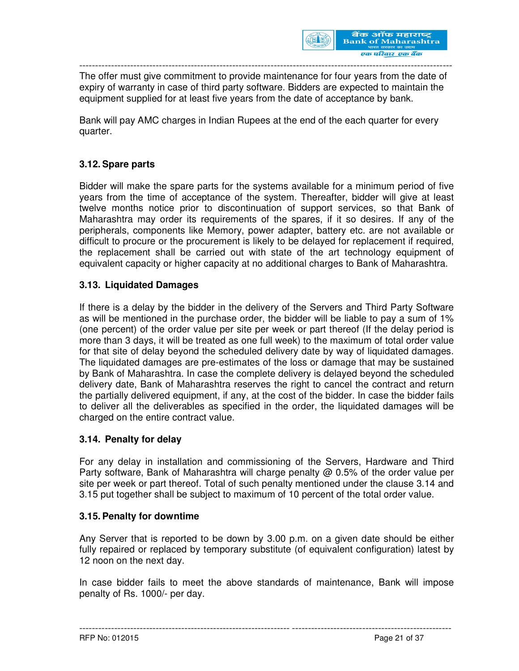

The offer must give commitment to provide maintenance for four years from the date of expiry of warranty in case of third party software. Bidders are expected to maintain the equipment supplied for at least five years from the date of acceptance by bank.

Bank will pay AMC charges in Indian Rupees at the end of the each quarter for every quarter.

# **3.12. Spare parts**

Bidder will make the spare parts for the systems available for a minimum period of five years from the time of acceptance of the system. Thereafter, bidder will give at least twelve months notice prior to discontinuation of support services, so that Bank of Maharashtra may order its requirements of the spares, if it so desires. If any of the peripherals, components like Memory, power adapter, battery etc. are not available or difficult to procure or the procurement is likely to be delayed for replacement if required, the replacement shall be carried out with state of the art technology equipment of equivalent capacity or higher capacity at no additional charges to Bank of Maharashtra.

## **3.13. Liquidated Damages**

If there is a delay by the bidder in the delivery of the Servers and Third Party Software as will be mentioned in the purchase order, the bidder will be liable to pay a sum of 1% (one percent) of the order value per site per week or part thereof (If the delay period is more than 3 days, it will be treated as one full week) to the maximum of total order value for that site of delay beyond the scheduled delivery date by way of liquidated damages. The liquidated damages are pre-estimates of the loss or damage that may be sustained by Bank of Maharashtra. In case the complete delivery is delayed beyond the scheduled delivery date, Bank of Maharashtra reserves the right to cancel the contract and return the partially delivered equipment, if any, at the cost of the bidder. In case the bidder fails to deliver all the deliverables as specified in the order, the liquidated damages will be charged on the entire contract value.

#### **3.14. Penalty for delay**

For any delay in installation and commissioning of the Servers, Hardware and Third Party software, Bank of Maharashtra will charge penalty  $\omega$  0.5% of the order value per site per week or part thereof. Total of such penalty mentioned under the clause 3.14 and 3.15 put together shall be subject to maximum of 10 percent of the total order value.

#### **3.15. Penalty for downtime**

Any Server that is reported to be down by 3.00 p.m. on a given date should be either fully repaired or replaced by temporary substitute (of equivalent configuration) latest by 12 noon on the next day.

In case bidder fails to meet the above standards of maintenance, Bank will impose penalty of Rs. 1000/- per day.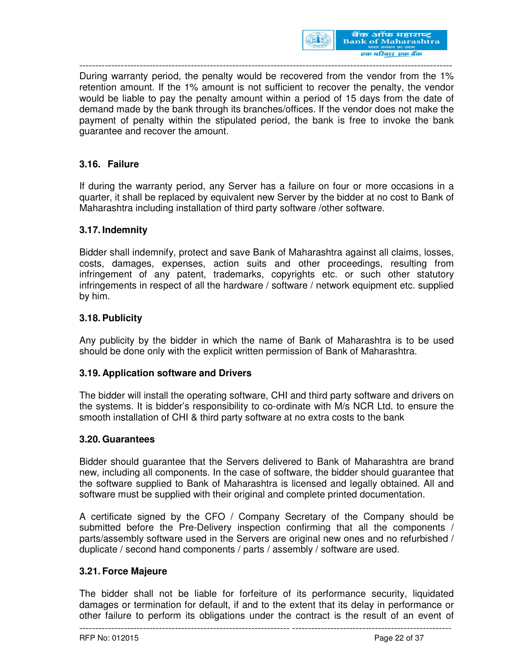

During warranty period, the penalty would be recovered from the vendor from the 1% retention amount. If the 1% amount is not sufficient to recover the penalty, the vendor would be liable to pay the penalty amount within a period of 15 days from the date of demand made by the bank through its branches/offices. If the vendor does not make the payment of penalty within the stipulated period, the bank is free to invoke the bank guarantee and recover the amount.

# **3.16. Failure**

If during the warranty period, any Server has a failure on four or more occasions in a quarter, it shall be replaced by equivalent new Server by the bidder at no cost to Bank of Maharashtra including installation of third party software /other software.

#### **3.17. Indemnity**

Bidder shall indemnify, protect and save Bank of Maharashtra against all claims, losses, costs, damages, expenses, action suits and other proceedings, resulting from infringement of any patent, trademarks, copyrights etc. or such other statutory infringements in respect of all the hardware / software / network equipment etc. supplied by him.

#### **3.18. Publicity**

Any publicity by the bidder in which the name of Bank of Maharashtra is to be used should be done only with the explicit written permission of Bank of Maharashtra.

#### **3.19. Application software and Drivers**

The bidder will install the operating software, CHI and third party software and drivers on the systems. It is bidder's responsibility to co-ordinate with M/s NCR Ltd. to ensure the smooth installation of CHI & third party software at no extra costs to the bank

#### **3.20. Guarantees**

Bidder should guarantee that the Servers delivered to Bank of Maharashtra are brand new, including all components. In the case of software, the bidder should guarantee that the software supplied to Bank of Maharashtra is licensed and legally obtained. All and software must be supplied with their original and complete printed documentation.

A certificate signed by the CFO / Company Secretary of the Company should be submitted before the Pre-Delivery inspection confirming that all the components / parts/assembly software used in the Servers are original new ones and no refurbished / duplicate / second hand components / parts / assembly / software are used.

#### **3.21. Force Majeure**

The bidder shall not be liable for forfeiture of its performance security, liquidated damages or termination for default, if and to the extent that its delay in performance or other failure to perform its obligations under the contract is the result of an event of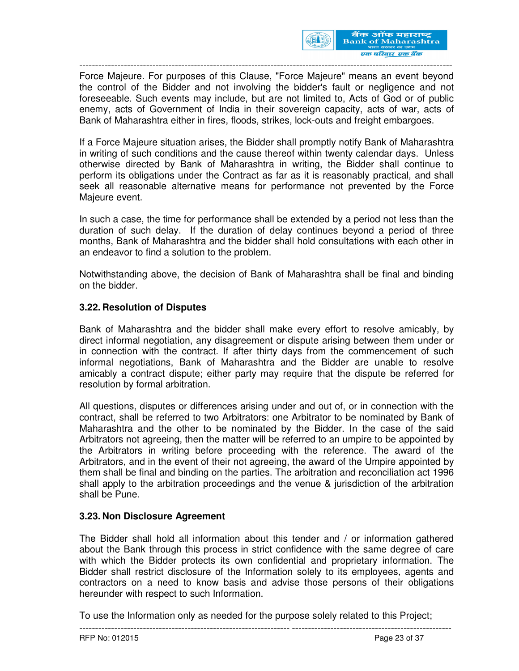

Force Majeure. For purposes of this Clause, "Force Majeure" means an event beyond the control of the Bidder and not involving the bidder's fault or negligence and not foreseeable. Such events may include, but are not limited to, Acts of God or of public enemy, acts of Government of India in their sovereign capacity, acts of war, acts of Bank of Maharashtra either in fires, floods, strikes, lock-outs and freight embargoes.

If a Force Majeure situation arises, the Bidder shall promptly notify Bank of Maharashtra in writing of such conditions and the cause thereof within twenty calendar days. Unless otherwise directed by Bank of Maharashtra in writing, the Bidder shall continue to perform its obligations under the Contract as far as it is reasonably practical, and shall seek all reasonable alternative means for performance not prevented by the Force Majeure event.

In such a case, the time for performance shall be extended by a period not less than the duration of such delay. If the duration of delay continues beyond a period of three months, Bank of Maharashtra and the bidder shall hold consultations with each other in an endeavor to find a solution to the problem.

Notwithstanding above, the decision of Bank of Maharashtra shall be final and binding on the bidder.

## **3.22. Resolution of Disputes**

Bank of Maharashtra and the bidder shall make every effort to resolve amicably, by direct informal negotiation, any disagreement or dispute arising between them under or in connection with the contract. If after thirty days from the commencement of such informal negotiations, Bank of Maharashtra and the Bidder are unable to resolve amicably a contract dispute; either party may require that the dispute be referred for resolution by formal arbitration.

All questions, disputes or differences arising under and out of, or in connection with the contract, shall be referred to two Arbitrators: one Arbitrator to be nominated by Bank of Maharashtra and the other to be nominated by the Bidder. In the case of the said Arbitrators not agreeing, then the matter will be referred to an umpire to be appointed by the Arbitrators in writing before proceeding with the reference. The award of the Arbitrators, and in the event of their not agreeing, the award of the Umpire appointed by them shall be final and binding on the parties. The arbitration and reconciliation act 1996 shall apply to the arbitration proceedings and the venue & jurisdiction of the arbitration shall be Pune.

# **3.23. Non Disclosure Agreement**

The Bidder shall hold all information about this tender and / or information gathered about the Bank through this process in strict confidence with the same degree of care with which the Bidder protects its own confidential and proprietary information. The Bidder shall restrict disclosure of the Information solely to its employees, agents and contractors on a need to know basis and advise those persons of their obligations hereunder with respect to such Information.

To use the Information only as needed for the purpose solely related to this Project;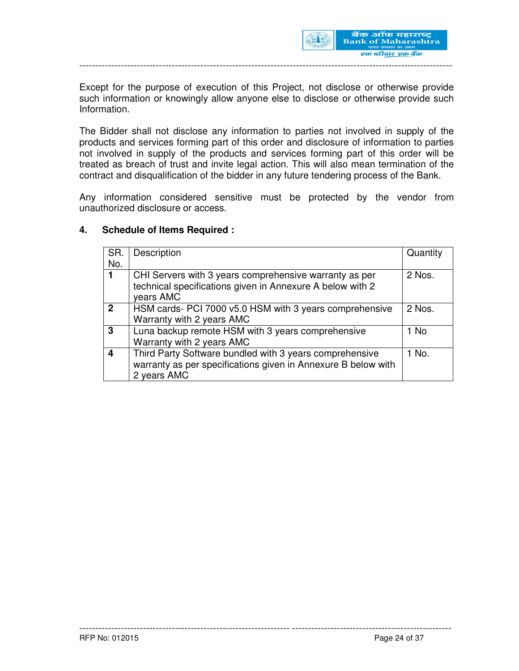

Except for the purpose of execution of this Project, not disclose or otherwise provide such information or knowingly allow anyone else to disclose or otherwise provide such Information.

The Bidder shall not disclose any information to parties not involved in supply of the products and services forming part of this order and disclosure of information to parties not involved in supply of the products and services forming part of this order will be treated as breach of trust and invite legal action. This will also mean termination of the contract and disqualification of the bidder in any future tendering process of the Bank.

Any information considered sensitive must be protected by the vendor from unauthorized disclosure or access.

#### **4. Schedule of Items Required :**

| SR.            | Description                                                                                                                             | Quantity |
|----------------|-----------------------------------------------------------------------------------------------------------------------------------------|----------|
| No.            |                                                                                                                                         |          |
|                | CHI Servers with 3 years comprehensive warranty as per<br>technical specifications given in Annexure A below with 2<br>years AMC        | 2 Nos.   |
| $\overline{2}$ | HSM cards- PCI 7000 v5.0 HSM with 3 years comprehensive<br>Warranty with 2 years AMC                                                    | 2 Nos.   |
| 3              | Luna backup remote HSM with 3 years comprehensive<br>Warranty with 2 years AMC                                                          | 1 No     |
| Δ              | Third Party Software bundled with 3 years comprehensive<br>warranty as per specifications given in Annexure B below with<br>2 years AMC | 1 No.    |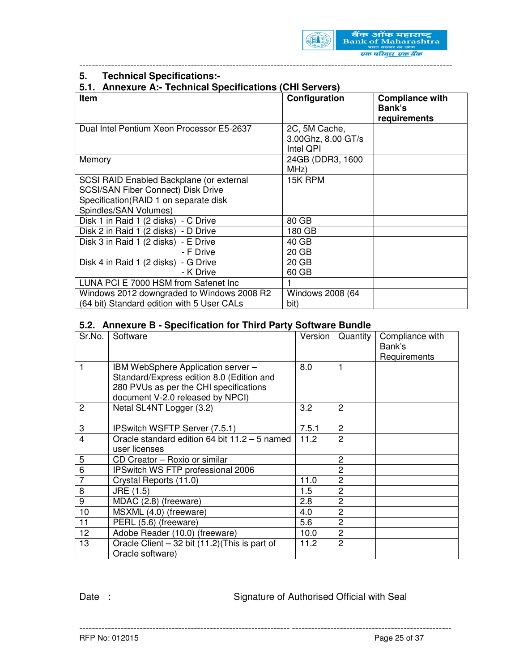

## **5. Technical Specifications:-**

### **5.1. Annexure A:- Technical Specifications (CHI Servers)**

| <b>Item</b>                                | Configuration      | <b>Compliance with</b> |
|--------------------------------------------|--------------------|------------------------|
|                                            |                    |                        |
|                                            |                    | Bank's                 |
|                                            |                    | requirements           |
| Dual Intel Pentium Xeon Processor E5-2637  | 2C, 5M Cache,      |                        |
|                                            | 3.00Ghz, 8.00 GT/s |                        |
|                                            | Intel QPI          |                        |
| Memory                                     | 24GB (DDR3, 1600   |                        |
|                                            | MHz)               |                        |
| SCSI RAID Enabled Backplane (or external   | 15K RPM            |                        |
| <b>SCSI/SAN Fiber Connect) Disk Drive</b>  |                    |                        |
| Specification(RAID 1 on separate disk      |                    |                        |
| Spindles/SAN Volumes)                      |                    |                        |
| Disk 1 in Raid 1 (2 disks) - C Drive       | 80 GB              |                        |
| Disk 2 in Raid 1 (2 disks) - D Drive       | 180 GB             |                        |
| Disk 3 in Raid 1 (2 disks) - E Drive       | 40 GB              |                        |
| - F Drive                                  | 20 GB              |                        |
| Disk 4 in Raid 1 (2 disks) - G Drive       | 20 GB              |                        |
| - K Drive                                  | 60 GB              |                        |
| LUNA PCI E 7000 HSM from Safenet Inc       |                    |                        |
| Windows 2012 downgraded to Windows 2008 R2 | Windows 2008 (64   |                        |
| (64 bit) Standard edition with 5 User CALs | bit)               |                        |

---------------------------------------------------------------------------------------------------------------------

## **5.2. Annexure B - Specification for Third Party Software Bundle**

| Sr.No.                  | Software                                                                                                                                                      | Version | Quantity       | Compliance with<br>Bank's<br>Requirements |
|-------------------------|---------------------------------------------------------------------------------------------------------------------------------------------------------------|---------|----------------|-------------------------------------------|
| 1                       | IBM WebSphere Application server -<br>Standard/Express edition 8.0 (Edition and<br>280 PVUs as per the CHI specifications<br>document V-2.0 released by NPCI) | 8.0     |                |                                           |
| $\overline{c}$          | Netal SL4NT Logger (3.2)                                                                                                                                      | 3.2     | $\overline{2}$ |                                           |
| 3                       | IPSwitch WSFTP Server (7.5.1)                                                                                                                                 | 7.5.1   | $\overline{2}$ |                                           |
| $\overline{\mathbf{4}}$ | Oracle standard edition 64 bit 11.2 - 5 named<br>user licenses                                                                                                | 11.2    | 2              |                                           |
| 5                       | CD Creator - Roxio or similar                                                                                                                                 |         | $\overline{c}$ |                                           |
| 6                       | <b>IPSwitch WS FTP professional 2006</b>                                                                                                                      |         | $\overline{2}$ |                                           |
| $\overline{7}$          | Crystal Reports (11.0)                                                                                                                                        | 11.0    | 2              |                                           |
| 8                       | JRE (1.5)                                                                                                                                                     | 1.5     | $\overline{2}$ |                                           |
| 9                       | MDAC (2.8) (freeware)                                                                                                                                         | 2.8     | 2              |                                           |
| 10                      | MSXML (4.0) (freeware)                                                                                                                                        | 4.0     | $\overline{2}$ |                                           |
| 11                      | PERL (5.6) (freeware)                                                                                                                                         | 5.6     | $\overline{c}$ |                                           |
| 12                      | Adobe Reader (10.0) (freeware)                                                                                                                                | 10.0    | $\overline{2}$ |                                           |
| 13                      | Oracle Client $-32$ bit $(11.2)$ (This is part of<br>Oracle software)                                                                                         | 11.2    | $\overline{2}$ |                                           |

------------------------------------------------------------------ --------------------------------------------------

Date : Signature of Authorised Official with Seal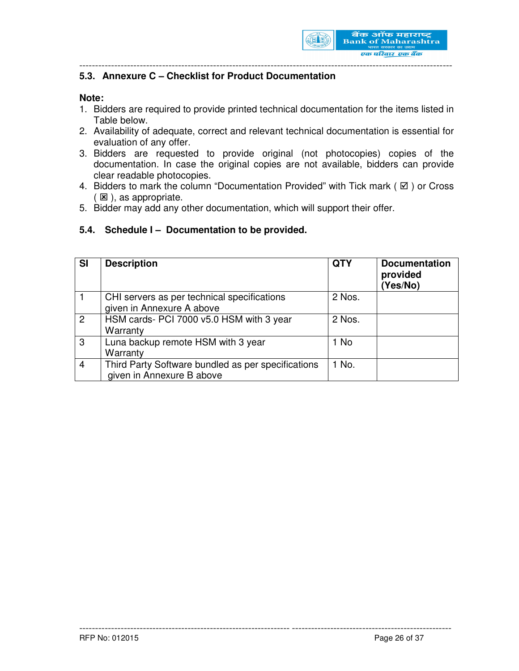

## **5.3. Annexure C – Checklist for Product Documentation**

#### **Note:**

- 1. Bidders are required to provide printed technical documentation for the items listed in Table below.
- 2. Availability of adequate, correct and relevant technical documentation is essential for evaluation of any offer.
- 3. Bidders are requested to provide original (not photocopies) copies of the documentation. In case the original copies are not available, bidders can provide clear readable photocopies.
- 4. Bidders to mark the column "Documentation Provided" with Tick mark ( $\boxtimes$ ) or Cross  $(E)$ , as appropriate.
- 5. Bidder may add any other documentation, which will support their offer.

#### **5.4. Schedule I – Documentation to be provided.**

| <b>SI</b>      | <b>Description</b>                                                              | <b>QTY</b> | <b>Documentation</b><br>provided<br>(Yes/No) |
|----------------|---------------------------------------------------------------------------------|------------|----------------------------------------------|
|                | CHI servers as per technical specifications<br>given in Annexure A above        | 2 Nos.     |                                              |
| $\overline{2}$ | HSM cards- PCI 7000 v5.0 HSM with 3 year<br>Warranty                            | 2 Nos.     |                                              |
| $\mathbf{3}$   | Luna backup remote HSM with 3 year<br>Warranty                                  | 1 No       |                                              |
| $\overline{4}$ | Third Party Software bundled as per specifications<br>given in Annexure B above | 1 No.      |                                              |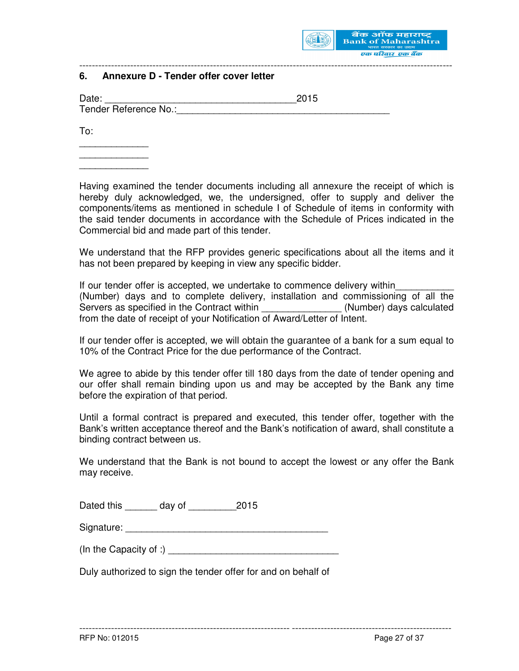

## **6. Annexure D - Tender offer cover letter**

| Date:                 | 2015 |
|-----------------------|------|
| Tender Reference No.: |      |

To:

\_\_\_\_\_\_\_\_\_\_\_\_\_ \_\_\_\_\_\_\_\_\_\_\_\_\_ \_\_\_\_\_\_\_\_\_\_\_\_\_

Having examined the tender documents including all annexure the receipt of which is hereby duly acknowledged, we, the undersigned, offer to supply and deliver the components/items as mentioned in schedule I of Schedule of items in conformity with the said tender documents in accordance with the Schedule of Prices indicated in the Commercial bid and made part of this tender.

---------------------------------------------------------------------------------------------------------------------

We understand that the RFP provides generic specifications about all the items and it has not been prepared by keeping in view any specific bidder.

If our tender offer is accepted, we undertake to commence delivery within (Number) days and to complete delivery, installation and commissioning of all the Servers as specified in the Contract within \_\_\_\_\_\_\_\_\_\_\_\_\_\_\_(Number) days calculated from the date of receipt of your Notification of Award/Letter of Intent.

If our tender offer is accepted, we will obtain the guarantee of a bank for a sum equal to 10% of the Contract Price for the due performance of the Contract.

We agree to abide by this tender offer till 180 days from the date of tender opening and our offer shall remain binding upon us and may be accepted by the Bank any time before the expiration of that period.

Until a formal contract is prepared and executed, this tender offer, together with the Bank's written acceptance thereof and the Bank's notification of award, shall constitute a binding contract between us.

We understand that the Bank is not bound to accept the lowest or any offer the Bank may receive.

------------------------------------------------------------------ --------------------------------------------------

| Dated this | day of | 2015 |
|------------|--------|------|
|------------|--------|------|

Signature: \_\_\_\_\_\_\_\_\_\_\_\_\_\_\_\_\_\_\_\_\_\_\_\_\_\_\_\_\_\_\_\_\_\_\_\_\_\_

(In the Capacity of :)  $\blacksquare$ 

Duly authorized to sign the tender offer for and on behalf of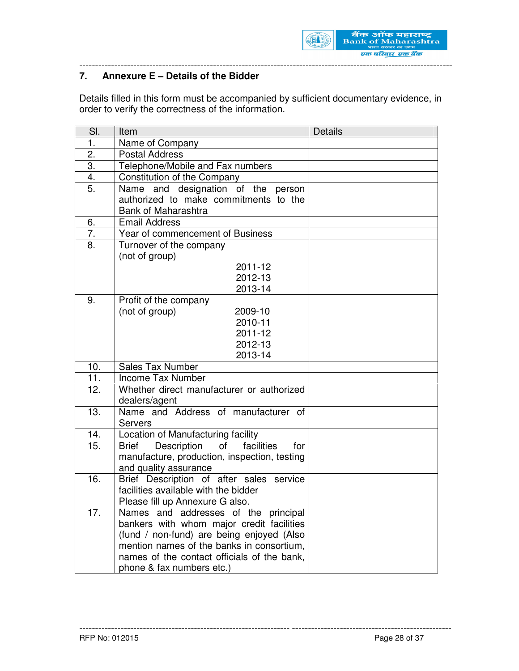

# **7. Annexure E – Details of the Bidder**

Details filled in this form must be accompanied by sufficient documentary evidence, in order to verify the correctness of the information.

| SI. | Item                                                        | <b>Details</b> |
|-----|-------------------------------------------------------------|----------------|
| 1.  | Name of Company                                             |                |
| 2.  | <b>Postal Address</b>                                       |                |
| 3.  | Telephone/Mobile and Fax numbers                            |                |
| 4.  | Constitution of the Company                                 |                |
| 5.  | Name and designation of the person                          |                |
|     | authorized to make commitments to the                       |                |
|     | <b>Bank of Maharashtra</b>                                  |                |
| 6.  | <b>Email Address</b>                                        |                |
| 7.  | Year of commencement of Business                            |                |
| 8.  | Turnover of the company                                     |                |
|     | (not of group)                                              |                |
|     | 2011-12                                                     |                |
|     | 2012-13                                                     |                |
|     | 2013-14                                                     |                |
| 9.  | Profit of the company                                       |                |
|     | (not of group)<br>2009-10                                   |                |
|     | 2010-11                                                     |                |
|     | 2011-12                                                     |                |
|     | 2012-13                                                     |                |
|     | 2013-14                                                     |                |
| 10. | Sales Tax Number                                            |                |
| 11. | <b>Income Tax Number</b>                                    |                |
| 12. | Whether direct manufacturer or authorized                   |                |
|     | dealers/agent                                               |                |
| 13. | Name and Address of manufacturer of                         |                |
|     | <b>Servers</b>                                              |                |
| 14. | Location of Manufacturing facility                          |                |
| 15. | facilities<br><b>Brief</b> Description<br>$\circ$ of<br>for |                |
|     | manufacture, production, inspection, testing                |                |
|     | and quality assurance                                       |                |
| 16. | Brief Description of after sales service                    |                |
|     | facilities available with the bidder                        |                |
|     | Please fill up Annexure G also.                             |                |
| 17. | Names and addresses of the principal                        |                |
|     | bankers with whom major credit facilities                   |                |
|     | (fund / non-fund) are being enjoyed (Also                   |                |
|     | mention names of the banks in consortium,                   |                |
|     | names of the contact officials of the bank,                 |                |
|     | phone & fax numbers etc.)                                   |                |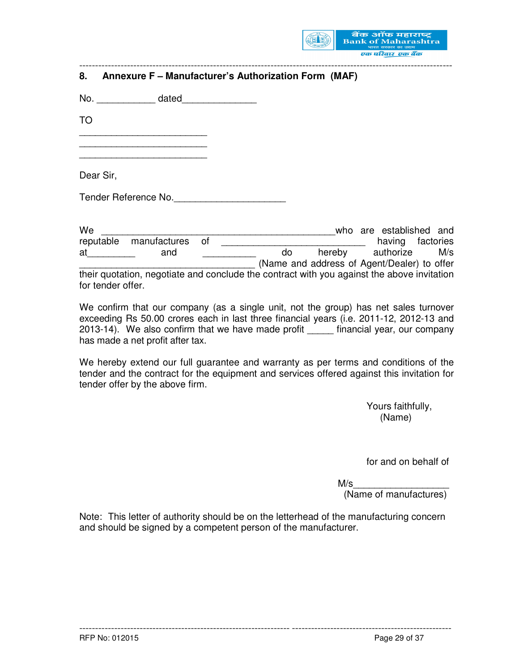

|           | 8. Annexure F - Manufacturer's Authorization Form (MAF) |                                             |                         |                         |  |
|-----------|---------------------------------------------------------|---------------------------------------------|-------------------------|-------------------------|--|
|           |                                                         |                                             |                         |                         |  |
| <b>TO</b> |                                                         |                                             |                         |                         |  |
|           |                                                         |                                             |                         |                         |  |
| Dear Sir, |                                                         |                                             |                         |                         |  |
|           | Tender Reference No.                                    |                                             |                         |                         |  |
|           |                                                         |                                             |                         |                         |  |
| We        | <u> 2008 - Jan Barbarat, margaret eta idazlear</u>      |                                             |                         | who are established and |  |
|           | reputable manufactures of                               | having factories                            |                         |                         |  |
|           | at and                                                  |                                             | do hereby authorize M/s |                         |  |
|           |                                                         | (Name and address of Agent/Dealer) to offer |                         |                         |  |

their quotation, negotiate and conclude the contract with you against the above invitation for tender offer.

We confirm that our company (as a single unit, not the group) has net sales turnover exceeding Rs 50.00 crores each in last three financial years (i.e. 2011-12, 2012-13 and 2013-14). We also confirm that we have made profit \_\_\_\_\_ financial year, our company has made a net profit after tax.

We hereby extend our full guarantee and warranty as per terms and conditions of the tender and the contract for the equipment and services offered against this invitation for tender offer by the above firm.

 Yours faithfully, (Name)

for and on behalf of

 $M/s$ 

(Name of manufactures)

Note: This letter of authority should be on the letterhead of the manufacturing concern and should be signed by a competent person of the manufacturer.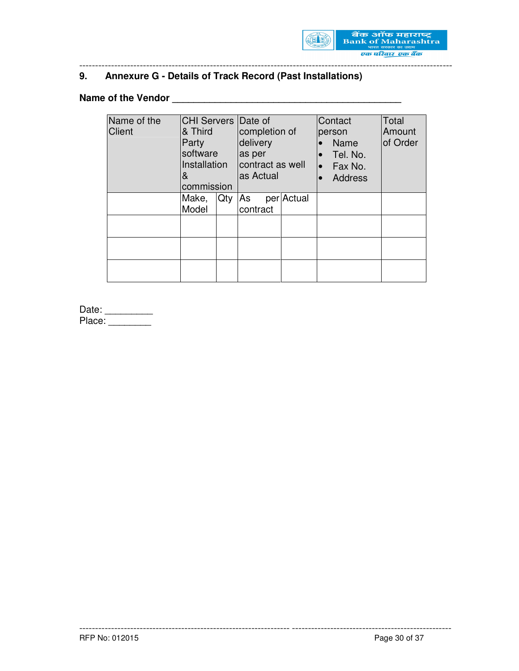

# **9. Annexure G - Details of Track Record (Past Installations)**

# **Name of the Vendor \_\_\_\_\_\_\_\_\_\_\_\_\_\_\_\_\_\_\_\_\_\_\_\_\_\_\_\_\_\_\_\_\_\_\_\_\_\_\_\_\_\_\_**

| Name of the   | CHI Servers Date of |     |               |                  |           | Contact        | Total    |
|---------------|---------------------|-----|---------------|------------------|-----------|----------------|----------|
| <b>Client</b> | & Third             |     | completion of |                  |           | person         | Amount   |
|               | Party               |     | delivery      |                  |           | Name           | of Order |
|               | software            |     | as per        |                  |           | Tel. No.       |          |
|               | Installation        |     |               | contract as well | $\bullet$ | Fax No.        |          |
|               | &                   |     | as Actual     |                  |           | <b>Address</b> |          |
|               | commission          |     |               |                  |           |                |          |
|               | Make,               | Qty | As            | per Actual       |           |                |          |
|               | Model               |     | contract      |                  |           |                |          |
|               |                     |     |               |                  |           |                |          |
|               |                     |     |               |                  |           |                |          |
|               |                     |     |               |                  |           |                |          |
|               |                     |     |               |                  |           |                |          |
|               |                     |     |               |                  |           |                |          |
|               |                     |     |               |                  |           |                |          |

------------------------------------------------------------------ --------------------------------------------------

---------------------------------------------------------------------------------------------------------------------

Date: \_\_\_\_\_\_\_\_\_\_\_ Place: \_\_\_\_\_\_\_\_\_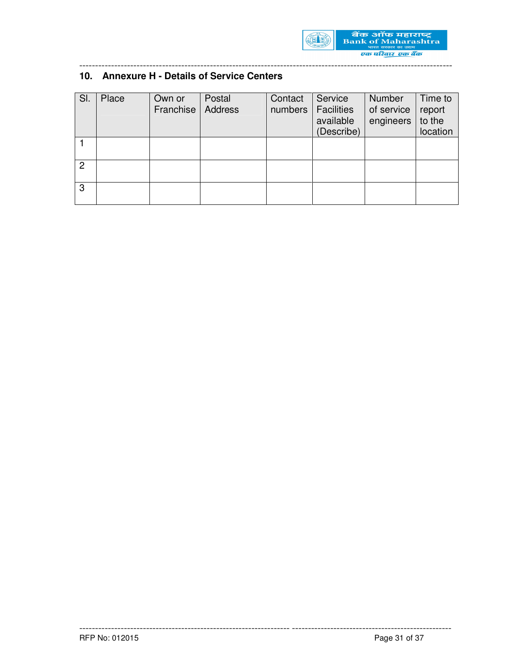

# **10. Annexure H - Details of Service Centers**

| SI. | Place | Own or<br>Franchise | Postal<br>Address | Contact<br>numbers | Service<br><b>Facilities</b><br>available<br>(Describe) | <b>Number</b><br>of service<br>engineers | Time to<br>report<br>to the<br>location |
|-----|-------|---------------------|-------------------|--------------------|---------------------------------------------------------|------------------------------------------|-----------------------------------------|
|     |       |                     |                   |                    |                                                         |                                          |                                         |
| 2   |       |                     |                   |                    |                                                         |                                          |                                         |
| 3   |       |                     |                   |                    |                                                         |                                          |                                         |

------------------------------------------------------------------ --------------------------------------------------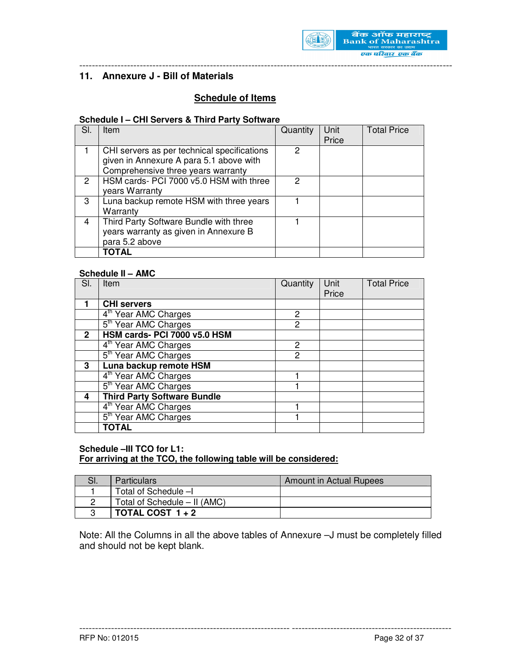

## **11. Annexure J - Bill of Materials**

# **Schedule of Items**

#### **Schedule I – CHI Servers & Third Party Software**

| SI. | Item                                        | Quantity | Unit  | <b>Total Price</b> |
|-----|---------------------------------------------|----------|-------|--------------------|
|     |                                             |          | Price |                    |
|     | CHI servers as per technical specifications | 2        |       |                    |
|     | given in Annexure A para 5.1 above with     |          |       |                    |
|     | Comprehensive three years warranty          |          |       |                    |
| 2   | HSM cards- PCI 7000 v5.0 HSM with three     | 2        |       |                    |
|     | years Warranty                              |          |       |                    |
| 3   | Luna backup remote HSM with three years     |          |       |                    |
|     | Warranty                                    |          |       |                    |
| 4   | Third Party Software Bundle with three      |          |       |                    |
|     | years warranty as given in Annexure B       |          |       |                    |
|     | para 5.2 above                              |          |       |                    |
|     | <b>TOTAL</b>                                |          |       |                    |
|     |                                             |          |       |                    |

#### **Schedule II – AMC**

| SI.          | Item                                 | Quantity | Unit<br>Price | <b>Total Price</b> |
|--------------|--------------------------------------|----------|---------------|--------------------|
|              | <b>CHI servers</b>                   |          |               |                    |
|              | 4 <sup>th</sup> Year AMC Charges     | 2        |               |                    |
|              | 5 <sup>th</sup> Year AMC Charges     | 2        |               |                    |
| $\mathbf{2}$ | HSM cards- PCI 7000 v5.0 HSM         |          |               |                    |
|              | $\overline{4^{th}}$ Year AMC Charges | 2        |               |                    |
|              | 5 <sup>th</sup> Year AMC Charges     | 2        |               |                    |
| 3            | Luna backup remote HSM               |          |               |                    |
|              | 4 <sup>th</sup> Year AMC Charges     |          |               |                    |
|              | 5 <sup>th</sup> Year AMC Charges     |          |               |                    |
| 4            | <b>Third Party Software Bundle</b>   |          |               |                    |
|              | 4 <sup>th</sup> Year AMC Charges     |          |               |                    |
|              | 5 <sup>th</sup> Year AMC Charges     |          |               |                    |
|              | TOTAL                                |          |               |                    |

#### **Schedule –III TCO for L1: For arriving at the TCO, the following table will be considered:**

| .וכ | <b>Particulars</b>             | Amount in Actual Rupees |
|-----|--------------------------------|-------------------------|
|     | Total of Schedule -I           |                         |
|     | Total of Schedule $-$ II (AMC) |                         |
|     | TOTAL COST $1+2$               |                         |

Note: All the Columns in all the above tables of Annexure –J must be completely filled and should not be kept blank.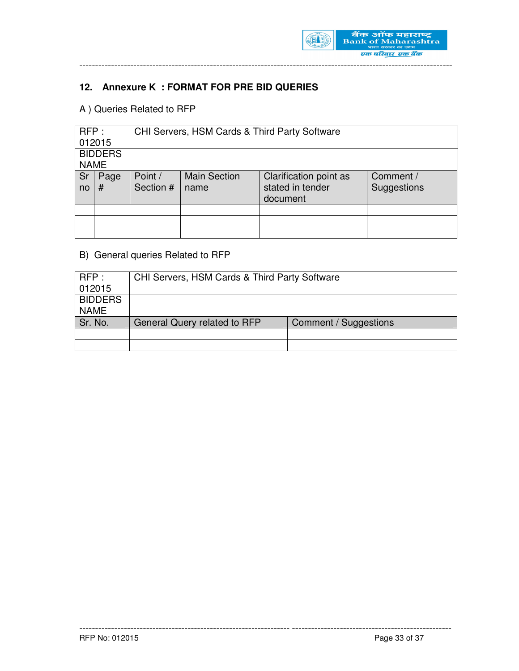

# **12. Annexure K : FORMAT FOR PRE BID QUERIES**

# A ) Queries Related to RFP

| RFP:        |                | CHI Servers, HSM Cards & Third Party Software |                             |                                                        |                          |  |
|-------------|----------------|-----------------------------------------------|-----------------------------|--------------------------------------------------------|--------------------------|--|
|             | 012015         |                                               |                             |                                                        |                          |  |
|             | <b>BIDDERS</b> |                                               |                             |                                                        |                          |  |
| <b>NAME</b> |                |                                               |                             |                                                        |                          |  |
| Sr<br>no    | Page<br>#      | Point /<br>Section #                          | <b>Main Section</b><br>name | Clarification point as<br>stated in tender<br>document | Comment /<br>Suggestions |  |
|             |                |                                               |                             |                                                        |                          |  |
|             |                |                                               |                             |                                                        |                          |  |
|             |                |                                               |                             |                                                        |                          |  |

# B) General queries Related to RFP

| RFP:           | CHI Servers, HSM Cards & Third Party Software |                       |  |  |  |
|----------------|-----------------------------------------------|-----------------------|--|--|--|
| 012015         |                                               |                       |  |  |  |
| <b>BIDDERS</b> |                                               |                       |  |  |  |
| <b>NAME</b>    |                                               |                       |  |  |  |
| Sr. No.        | General Query related to RFP                  | Comment / Suggestions |  |  |  |
|                |                                               |                       |  |  |  |
|                |                                               |                       |  |  |  |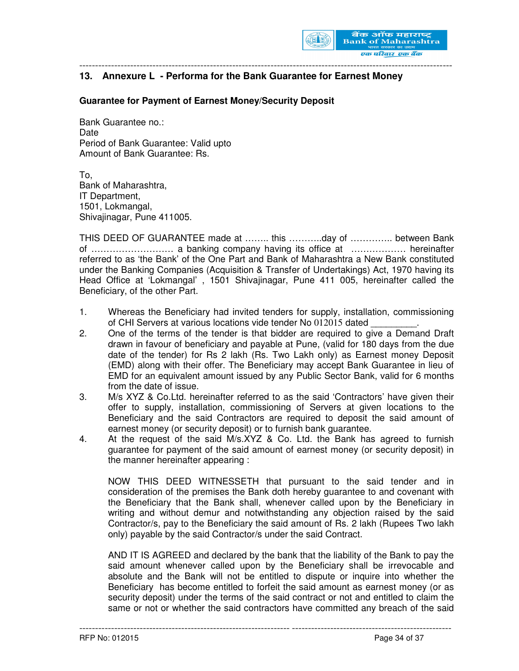

### **13. Annexure L - Performa for the Bank Guarantee for Earnest Money**

#### **Guarantee for Payment of Earnest Money/Security Deposit**

Bank Guarantee no.: Date Period of Bank Guarantee: Valid upto Amount of Bank Guarantee: Rs.

To, Bank of Maharashtra, IT Department, 1501, Lokmangal, Shivajinagar, Pune 411005.

THIS DEED OF GUARANTEE made at …….. this ………..day of ………….. between Bank of ……………………… a banking company having its office at ……………… hereinafter referred to as 'the Bank' of the One Part and Bank of Maharashtra a New Bank constituted under the Banking Companies (Acquisition & Transfer of Undertakings) Act, 1970 having its Head Office at 'Lokmangal' , 1501 Shivajinagar, Pune 411 005, hereinafter called the Beneficiary, of the other Part.

- 1. Whereas the Beneficiary had invited tenders for supply, installation, commissioning of CHI Servers at various locations vide tender No 012015 dated
- 2. One of the terms of the tender is that bidder are required to give a Demand Draft drawn in favour of beneficiary and payable at Pune, (valid for 180 days from the due date of the tender) for Rs 2 lakh (Rs. Two Lakh only) as Earnest money Deposit (EMD) along with their offer. The Beneficiary may accept Bank Guarantee in lieu of EMD for an equivalent amount issued by any Public Sector Bank, valid for 6 months from the date of issue.
- 3. M/s XYZ & Co.Ltd. hereinafter referred to as the said 'Contractors' have given their offer to supply, installation, commissioning of Servers at given locations to the Beneficiary and the said Contractors are required to deposit the said amount of earnest money (or security deposit) or to furnish bank guarantee.
- 4. At the request of the said M/s.XYZ & Co. Ltd. the Bank has agreed to furnish guarantee for payment of the said amount of earnest money (or security deposit) in the manner hereinafter appearing :

NOW THIS DEED WITNESSETH that pursuant to the said tender and in consideration of the premises the Bank doth hereby guarantee to and covenant with the Beneficiary that the Bank shall, whenever called upon by the Beneficiary in writing and without demur and notwithstanding any objection raised by the said Contractor/s, pay to the Beneficiary the said amount of Rs. 2 lakh (Rupees Two lakh only) payable by the said Contractor/s under the said Contract.

AND IT IS AGREED and declared by the bank that the liability of the Bank to pay the said amount whenever called upon by the Beneficiary shall be irrevocable and absolute and the Bank will not be entitled to dispute or inquire into whether the Beneficiary has become entitled to forfeit the said amount as earnest money (or as security deposit) under the terms of the said contract or not and entitled to claim the same or not or whether the said contractors have committed any breach of the said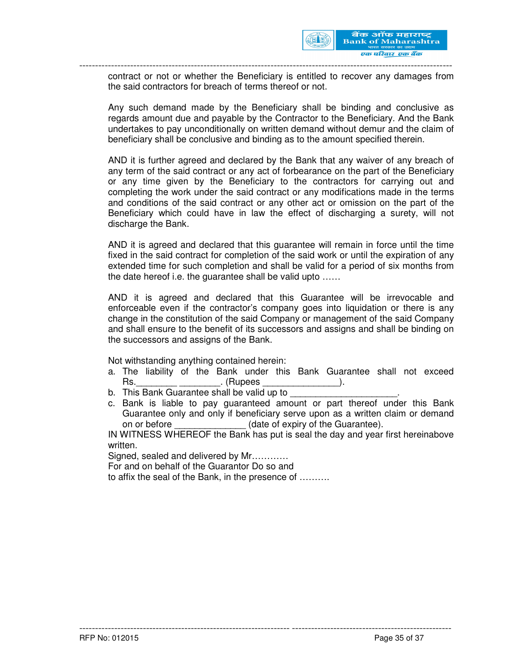

contract or not or whether the Beneficiary is entitled to recover any damages from the said contractors for breach of terms thereof or not.

Any such demand made by the Beneficiary shall be binding and conclusive as regards amount due and payable by the Contractor to the Beneficiary. And the Bank undertakes to pay unconditionally on written demand without demur and the claim of beneficiary shall be conclusive and binding as to the amount specified therein.

AND it is further agreed and declared by the Bank that any waiver of any breach of any term of the said contract or any act of forbearance on the part of the Beneficiary or any time given by the Beneficiary to the contractors for carrying out and completing the work under the said contract or any modifications made in the terms and conditions of the said contract or any other act or omission on the part of the Beneficiary which could have in law the effect of discharging a surety, will not discharge the Bank.

AND it is agreed and declared that this guarantee will remain in force until the time fixed in the said contract for completion of the said work or until the expiration of any extended time for such completion and shall be valid for a period of six months from the date hereof i.e. the guarantee shall be valid upto ……

AND it is agreed and declared that this Guarantee will be irrevocable and enforceable even if the contractor's company goes into liquidation or there is any change in the constitution of the said Company or management of the said Company and shall ensure to the benefit of its successors and assigns and shall be binding on the successors and assigns of the Bank.

Not withstanding anything contained herein:

- a. The liability of the Bank under this Bank Guarantee shall not exceed Rs. The contract of the contract (Rupees the contract of the contract of the contract of the contract of the contract of the contract of the contract of the contract of the contract of the contract of the contract of the c
- b. This Bank Guarantee shall be valid up to
- c. Bank is liable to pay guaranteed amount or part thereof under this Bank Guarantee only and only if beneficiary serve upon as a written claim or demand on or before **Example 20** (date of expiry of the Guarantee).

IN WITNESS WHEREOF the Bank has put is seal the day and year first hereinabove written.

------------------------------------------------------------------ --------------------------------------------------

Signed, sealed and delivered by Mr…………

For and on behalf of the Guarantor Do so and

to affix the seal of the Bank, in the presence of ……….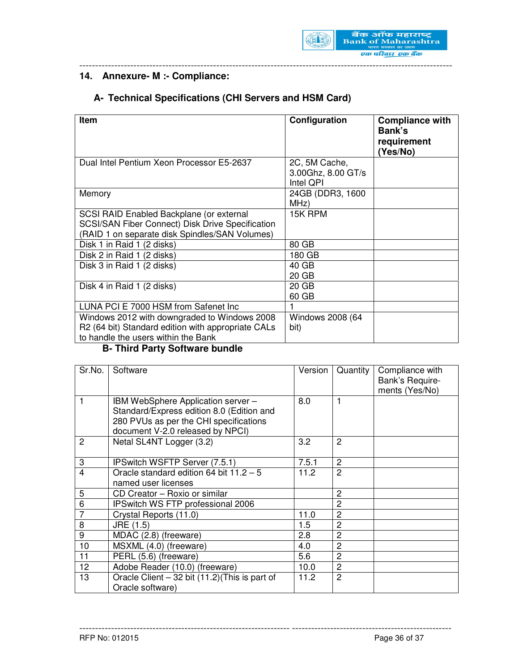

# **14. Annexure- M :- Compliance:**

# **A- Technical Specifications (CHI Servers and HSM Card)**

| <b>Item</b>                                                                                                                                           | Configuration                                    | <b>Compliance with</b><br>Bank's<br>requirement<br>(Yes/No) |
|-------------------------------------------------------------------------------------------------------------------------------------------------------|--------------------------------------------------|-------------------------------------------------------------|
| Dual Intel Pentium Xeon Processor E5-2637                                                                                                             | 2C, 5M Cache,<br>3.00Ghz, 8.00 GT/s<br>Intel QPI |                                                             |
| Memory                                                                                                                                                | 24GB (DDR3, 1600<br>MHz)                         |                                                             |
| SCSI RAID Enabled Backplane (or external<br><b>SCSI/SAN Fiber Connect) Disk Drive Specification</b><br>(RAID 1 on separate disk Spindles/SAN Volumes) | 15K RPM                                          |                                                             |
| Disk 1 in Raid 1 (2 disks)                                                                                                                            | 80 GB                                            |                                                             |
| Disk 2 in Raid 1 (2 disks)                                                                                                                            | 180 GB                                           |                                                             |
| Disk 3 in Raid 1 (2 disks)                                                                                                                            | 40 GB<br>20 GB                                   |                                                             |
| Disk 4 in Raid 1 (2 disks)                                                                                                                            | 20 GB<br>60 GB                                   |                                                             |
| LUNA PCI E 7000 HSM from Safenet Inc                                                                                                                  | 1                                                |                                                             |
| Windows 2012 with downgraded to Windows 2008<br>R2 (64 bit) Standard edition with appropriate CALs<br>to handle the users within the Bank             | Windows 2008 (64<br>bit)                         |                                                             |

#### **B- Third Party Software bundle**

| Sr.No.         | Software                                                                                                                                                      | Version | Quantity       | Compliance with<br>Bank's Require- |
|----------------|---------------------------------------------------------------------------------------------------------------------------------------------------------------|---------|----------------|------------------------------------|
|                |                                                                                                                                                               |         |                | ments (Yes/No)                     |
|                | IBM WebSphere Application server -<br>Standard/Express edition 8.0 (Edition and<br>280 PVUs as per the CHI specifications<br>document V-2.0 released by NPCI) | 8.0     | 1              |                                    |
| $\overline{c}$ | Netal SL4NT Logger (3.2)                                                                                                                                      | 3.2     | 2              |                                    |
| 3              | IPSwitch WSFTP Server (7.5.1)                                                                                                                                 | 7.5.1   | $\overline{2}$ |                                    |
| 4              | Oracle standard edition 64 bit $11.2 - 5$<br>named user licenses                                                                                              | 11.2    | $\overline{2}$ |                                    |
| 5              | CD Creator - Roxio or similar                                                                                                                                 |         | $\overline{2}$ |                                    |
| 6              | IPSwitch WS FTP professional 2006                                                                                                                             |         | 2              |                                    |
| $\overline{7}$ | Crystal Reports (11.0)                                                                                                                                        | 11.0    | $\overline{2}$ |                                    |
| 8              | JRE (1.5)                                                                                                                                                     | 1.5     | $\overline{2}$ |                                    |
| 9              | MDAC (2.8) (freeware)                                                                                                                                         | 2.8     | $\overline{2}$ |                                    |
| 10             | MSXML (4.0) (freeware)                                                                                                                                        | 4.0     | $\overline{2}$ |                                    |
| 11             | PERL (5.6) (freeware)                                                                                                                                         | 5.6     | $\overline{2}$ |                                    |
| 12             | Adobe Reader (10.0) (freeware)                                                                                                                                | 10.0    | $\overline{2}$ |                                    |
| 13             | Oracle Client $-32$ bit (11.2) (This is part of<br>Oracle software)                                                                                           | 11.2    | $\overline{2}$ |                                    |